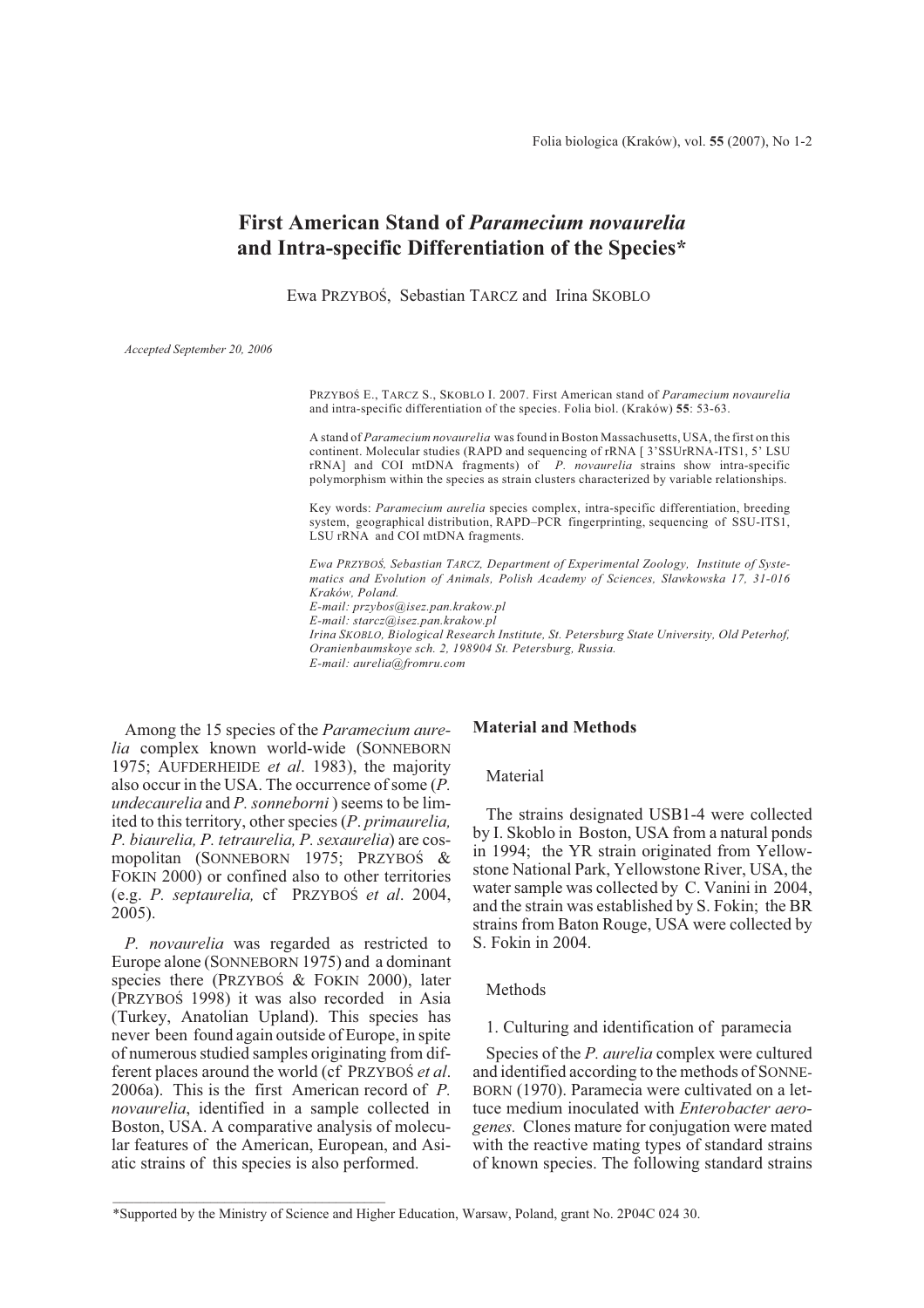# **First American Stand of** *Paramecium novaurelia* **and Intra-specific Differentiation of the Species\***

Ewa PRZYBOŚ, Sebastian TARCZ and Irina SKOBLO

*Accepted September 20, 2006*

PRZYBOŒ E., TARCZ S., SKOBLO I. 2007. First American stand of *Paramecium novaurelia* and intra-specific differentiation of the species. Folia biol. (Kraków) **55**: 53-63.

A stand of *Paramecium novaurelia* was found in Boston Massachusetts, USA, the first on this continent. Molecular studies (RAPD and sequencing of rRNA [ 3'SSUrRNA-ITS1, 5' LSU rRNA] and COI mtDNA fragments) of *P. novaurelia* strains show intra-specific polymorphism within the species as strain clusters characterized by variable relationships.

Key words: *Paramecium aurelia* species complex, intra-specific differentiation, breeding system, geographical distribution, RAPD–PCR fingerprinting, sequencing of SSU-ITS1, LSU rRNA and COI mtDNA fragments.

Ewa PRZYBOŚ, Sebastian TARCZ, Department of Experimental Zoology, Institute of Syste*matics and Evolution of Animals, Polish Academy of Sciences, S³awkowska 17, 31-016 Kraków, Poland. E-mail: przybos@isez.pan.krakow.pl E-mail: starcz@isez.pan.krakow.pl Irina SKOBLO, Biological Research Institute, St. Petersburg State University, Old Peterhof, Oranienbaumskoye sch. 2, 198904 St. Petersburg, Russia. E-mail: aurelia@fromru.com*

Among the 15 species of the *Paramecium aurelia* complex known world-wide (SONNEBORN 1975; AUFDERHEIDE *et al*. 1983), the majority also occur in the USA. The occurrence of some (*P. undecaurelia* and *P. sonneborni* ) seems to be limited to this territory, other species (*P*. *primaurelia, P. biaurelia, P. tetraurelia, P. sexaurelia*) are cosmopolitan (SONNEBORN 1975; PRZYBOŚ & FOKIN 2000) or confined also to other territories (e.g. *P. septaurelia,* cf PRZYBOŚ *et al.* 2004, 2005).

*P. novaurelia* was regarded as restricted to Europe alone (SONNEBORN 1975) and a dominant species there (PRZYBOŚ  $&$  FOKIN 2000), later (PRZYBOŚ 1998) it was also recorded in Asia (Turkey, Anatolian Upland). This species has never been found again outside of Europe, in spite of numerous studied samples originating from different places around the world (cf PRZYBOS *et al.*) 2006a). This is the first American record of *P. novaurelia*, identified in a sample collected in Boston, USA. A comparative analysis of molecular features of the American, European, and Asiatic strains of this species is also performed.

\_\_\_\_\_\_\_\_\_\_\_\_\_\_\_\_\_\_\_\_\_\_\_\_\_\_\_\_\_\_\_\_\_\_\_\_\_\_\_

### **Material and Methods**

### Material

The strains designated USB1-4 were collected by I. Skoblo in Boston, USA from a natural ponds in 1994; the YR strain originated from Yellowstone National Park, Yellowstone River, USA, the water sample was collected by C. Vanini in 2004, and the strain was established by S. Fokin; the BR strains from Baton Rouge, USA were collected by S. Fokin in 2004.

#### **Methods**

1. Culturing and identification of paramecia

Species of the *P. aurelia* complex were cultured and identified according to the methods of SONNE-BORN (1970). Paramecia were cultivated on a lettuce medium inoculated with *Enterobacter aerogenes.* Clones mature for conjugation were mated with the reactive mating types of standard strains of known species. The following standard strains

<sup>\*</sup>Supported by the Ministry of Science and Higher Education, Warsaw, Poland, grant No. 2P04C 024 30.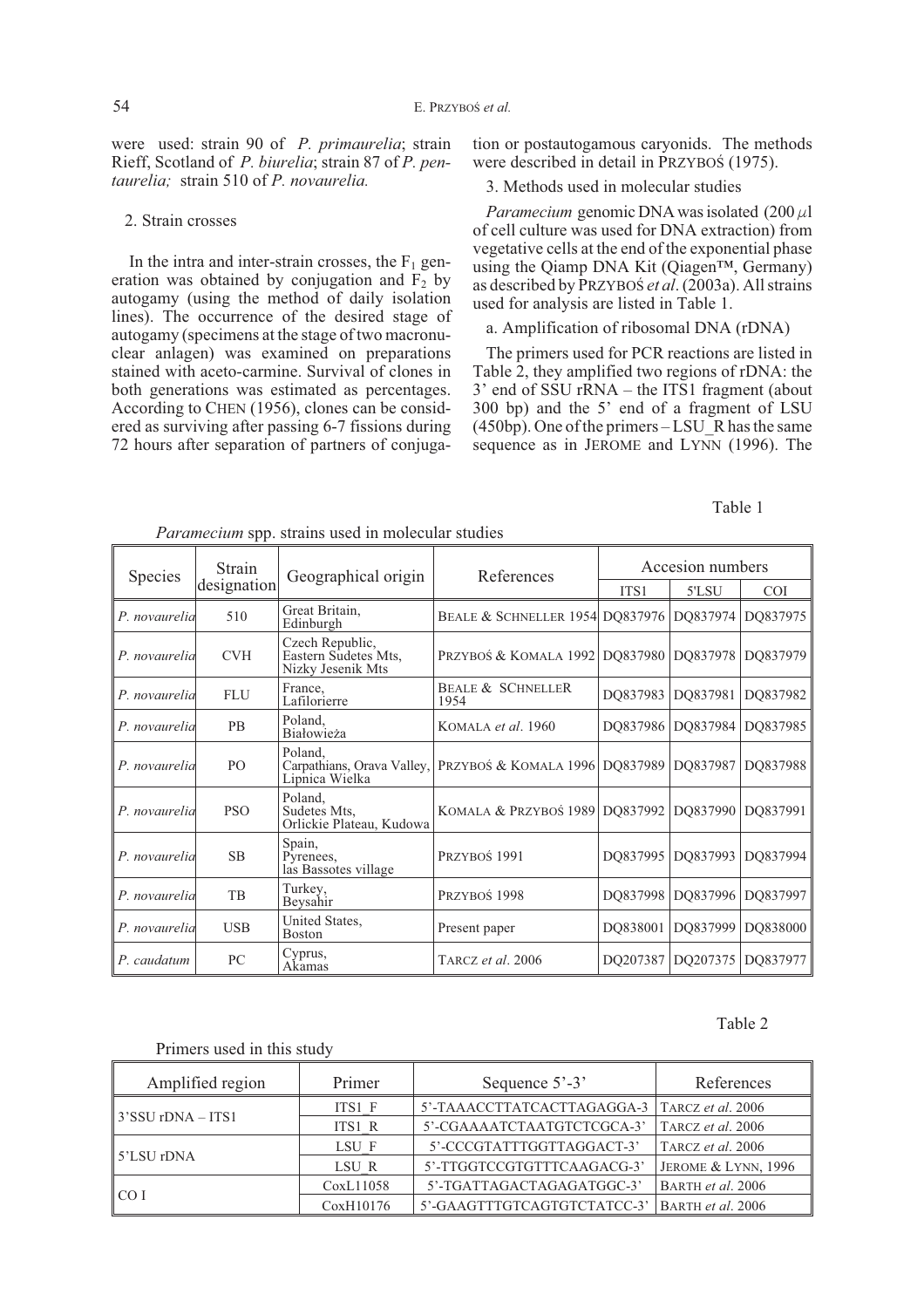were used: strain 90 of *P. primaurelia*; strain Rieff, Scotland of *P. biurelia*; strain 87 of *P. pentaurelia;* strain 510 of *P. novaurelia.*

### 2. Strain crosses

In the intra and inter-strain crosses, the  $F_1$  generation was obtained by conjugation and  $\overline{F_2}$  by autogamy (using the method of daily isolation lines). The occurrence of the desired stage of autogamy (specimens at the stage of two macronuclear anlagen) was examined on preparations stained with aceto-carmine. Survival of clones in both generations was estimated as percentages. According to CHEN (1956), clones can be considered as surviving after passing 6-7 fissions during 72 hours after separation of partners of conjugation or postautogamous caryonids. The methods were described in detail in PRZYBOŚ (1975).

### 3. Methods used in molecular studies

*Paramecium* genomic DNA was isolated  $(200 \mu)$ of cell culture was used for DNA extraction) from vegetative cells at the end of the exponential phase using the Qiamp DNA Kit (Qiagen™, Germany) as described by PRZYBOS *et al.* (2003a). All strains used for analysis are listed in Table 1.

### a. Amplification of ribosomal DNA (rDNA)

The primers used for PCR reactions are listed in Table 2, they amplified two regions of rDNA: the 3' end of SSU rRNA – the ITS1 fragment (about 300 bp) and the 5' end of a fragment of LSU  $(450bp)$ . One of the primers  $-LSU$  R has the same sequence as in JEROME and LYNN (1996). The

# Table 1

|                | Strain         |                                                              |                                            |                  | Accesion numbers |            |
|----------------|----------------|--------------------------------------------------------------|--------------------------------------------|------------------|------------------|------------|
| <b>Species</b> | designation    | Geographical origin                                          | References                                 | ITS <sub>1</sub> | 5'LSU            | <b>COI</b> |
| P. novaurelia  | 510            | Great Britain,<br>Edinburgh                                  | <b>BEALE &amp; SCHNELLER 1954 DO837976</b> |                  | DQ837974         | DQ837975   |
| P. novaurelia  | <b>CVH</b>     | Czech Republic,<br>Eastern Sudetes Mts,<br>Nizky Jesenik Mts | PRZYBOŚ & KOMALA 1992 DQ837980 DQ837978    |                  |                  | DQ837979   |
| P. novaurelia  | <b>FLU</b>     | France,<br>Lafilorierre                                      | <b>BEALE &amp; SCHNELLER</b><br>1954       | DO837983         | DQ837981         | DQ837982   |
| P. novaurelia  | <b>PB</b>      | Poland.<br>Białowieża                                        | KOMALA <i>et al.</i> 1960                  | DO837986         | DQ837984         | DQ837985   |
| P. novaurelia  | P <sub>O</sub> | Poland.<br>Carpathians, Orava Valley,<br>Lipnica Wielka      | PRZYBOŚ & KOMALA 1996 DQ837989 DQ837987    |                  |                  | DQ837988   |
| P. novaurelia  | <b>PSO</b>     | Poland,<br>Sudetes Mts,<br>Orlickie Plateau, Kudowa          | KOMALA & PRZYBOŚ 1989 DQ837992             |                  | DO837990         | DO837991   |
| P. novaurelia  | <b>SB</b>      | Spain,<br>Pyrenees,<br>las Bassotes village                  | PRZYBOŚ <sub>1991</sub>                    | DO837995         | DO837993         | DO837994   |
| P. novaurelia  | <b>TB</b>      | Turkey,<br>Beysahir                                          | Przyboś 1998                               | DO837998         | DO837996         | DO837997   |
| P. novaurelia  | <b>USB</b>     | United States,<br><b>Boston</b>                              | Present paper                              | DQ838001         | DQ837999         | DQ838000   |
| P. caudatum    | PC.            | Cyprus,<br>Akamas                                            | TARCZ <i>et al.</i> 2006                   | DO207387         | DQ207375         | DQ837977   |

*Paramecium* spp. strains used in molecular studies

### Table 2

### Primers used in this study

| Amplified region  | Primer    | Sequence 5'-3'              | References                     |
|-------------------|-----------|-----------------------------|--------------------------------|
|                   | ITS1 F    | 5'-TAAACCTTATCACTTAGAGGA-3  | TARCZ et al. 2006              |
| 3'SSU rDNA – ITS1 | ITS1 R    | 5'-CGAAAATCTAATGTCTCGCA-3'  | TARCZ et al. 2006              |
|                   | LSU F     | 5'-CCCGTATTTGGTTAGGACT-3'   | TARCZ et al. 2006              |
| 5'LSU rDNA        | LSU R     | 5'-TTGGTCCGTGTTTCAAGACG-3'  | <b>JEROME &amp; LYNN, 1996</b> |
|                   | CoxL11058 | 5'-TGATTAGACTAGAGATGGC-3'   | BARTH et al. 2006              |
| CO I              | CoxH10176 | 5'-GAAGTTTGTCAGTGTCTATCC-3' | BARTH et al. 2006              |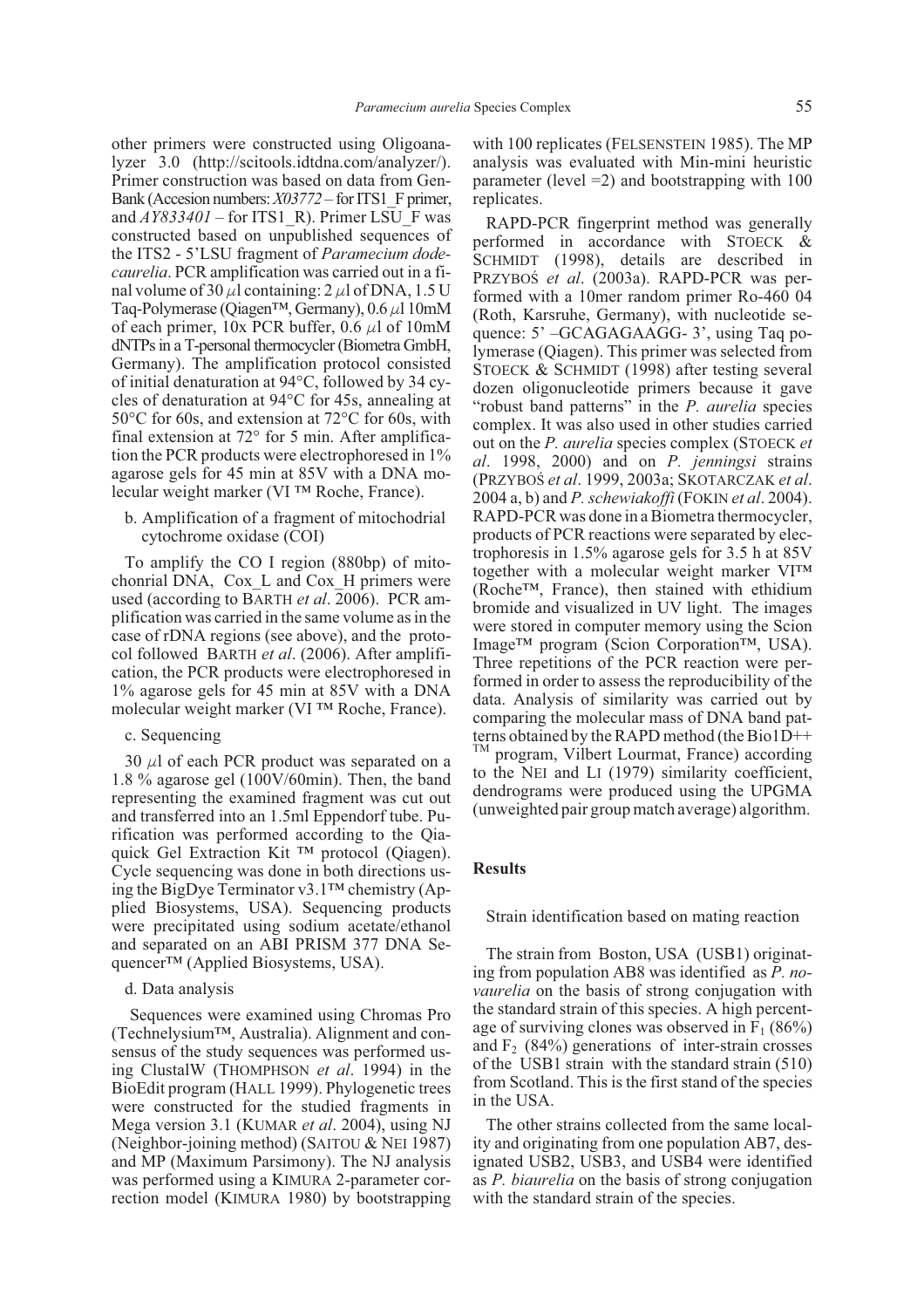other primers were constructed using Oligoanalyzer 3.0 (http://scitools.idtdna.com/analyzer/). Primer construction was based on data from Gen-Bank (Accesion numbers:*X03772* – for ITS1\_F primer, and  $AY833401$  – for ITS1\_R). Primer LSU\_F was constructed based on unpublished sequences of the ITS2 - 5'LSU fragment of *Paramecium dodecaurelia*. PCR amplification was carried out in a final volume of 30  $\mu$ l containing: 2  $\mu$ l of DNA, 1.5 U Taq-Polymerase (Qiagen<sup>TM</sup>, Germany),  $0.6 \mu$ l 10mM of each primer, 10x PCR buffer, 0.6  $\mu$ l of 10mM dNTPs in a T-personal thermocycler (Biometra GmbH, Germany). The amplification protocol consisted of initial denaturation at 94°C, followed by 34 cycles of denaturation at 94°C for 45s, annealing at 50°C for 60s, and extension at 72°C for 60s, with final extension at 72° for 5 min. After amplification the PCR products were electrophoresed in 1% agarose gels for 45 min at 85V with a DNA molecular weight marker (VI ™ Roche, France).

b. Amplification of a fragment of mitochodrial cytochrome oxidase (COI)

To amplify the CO I region (880bp) of mitochonrial DNA, Cox\_L and Cox\_H primers were used (according to BARTH *et al*. 2006). PCR amplification was carried in the same volume as in the case of rDNA regions (see above), and the protocol followed BARTH *et al*. (2006). After amplification, the PCR products were electrophoresed in 1% agarose gels for 45 min at 85V with a DNA molecular weight marker (VI ™ Roche, France).

### c. Sequencing

30  $\mu$ l of each PCR product was separated on a 1.8 % agarose gel (100V/60min). Then, the band representing the examined fragment was cut out and transferred into an 1.5ml Eppendorf tube. Purification was performed according to the Qiaquick Gel Extraction Kit ™ protocol (Qiagen). Cycle sequencing was done in both directions using the BigDye Terminator v3.1™ chemistry (Applied Biosystems, USA). Sequencing products were precipitated using sodium acetate/ethanol and separated on an ABI PRISM 377 DNA Sequencer™ (Applied Biosystems, USA).

### d. Data analysis

Sequences were examined using Chromas Pro (Technelysium™, Australia). Alignment and consensus of the study sequences was performed using ClustalW (THOMPHSON *et al*. 1994) in the BioEdit program (HALL 1999). Phylogenetic trees were constructed for the studied fragments in Mega version 3.1 (KUMAR *et al*. 2004), using NJ (Neighbor-joining method) (SAITOU & NEI 1987) and MP (Maximum Parsimony). The NJ analysis was performed using a KIMURA 2-parameter correction model (KIMURA 1980) by bootstrapping

with 100 replicates (FELSENSTEIN 1985). The MP analysis was evaluated with Min-mini heuristic parameter (level  $=2$ ) and bootstrapping with 100 replicates.

RAPD-PCR fingerprint method was generally performed in accordance with STOECK & SCHMIDT (1998), details are described in PRZYBOŚ et al. (2003a). RAPD-PCR was performed with a 10mer random primer Ro-460 04 (Roth, Karsruhe, Germany), with nucleotide sequence: 5' –GCAGAGAAGG- 3', using Taq polymerase (Qiagen). This primer was selected from STOECK & SCHMIDT (1998) after testing several dozen oligonucleotide primers because it gave "robust band patterns" in the *P. aurelia* species complex. It was also used in other studies carried out on the *P. aurelia* species complex (STOECK *et al*. 1998, 2000) and on *P. jenningsi* strains (PRZYBOŒ *et al*. 1999, 2003a; SKOTARCZAK *et al*. 2004 a, b) and *P. schewiakoffi* (FOKIN *et al*. 2004). RAPD-PCR was done in a Biometra thermocycler, products of PCR reactions were separated by electrophoresis in 1.5% agarose gels for 3.5 h at 85V together with a molecular weight marker VI™ (Roche™, France), then stained with ethidium bromide and visualized in UV light. The images were stored in computer memory using the Scion Image™ program (Scion Corporation™, USA). Three repetitions of the PCR reaction were performed in order to assess the reproducibility of the data. Analysis of similarity was carried out by comparing the molecular mass of DNA band patterns obtained by the RAPD method (the Bio1D++ TM program, Vilbert Lourmat, France) according to the NEI and LI (1979) similarity coefficient, dendrograms were produced using the UPGMA (unweighted pair group match average) algorithm.

### **Results**

### Strain identification based on mating reaction

The strain from Boston, USA (USB1) originating from population AB8 was identified as *P. novaurelia* on the basis of strong conjugation with the standard strain of this species. A high percentage of surviving clones was observed in  $F_1$  (86%) and  $F<sub>2</sub>$  (84%) generations of inter-strain crosses of the USB1 strain with the standard strain (510) from Scotland. This is the first stand of the species in the USA.

The other strains collected from the same locality and originating from one population AB7, designated USB2, USB3, and USB4 were identified as *P. biaurelia* on the basis of strong conjugation with the standard strain of the species.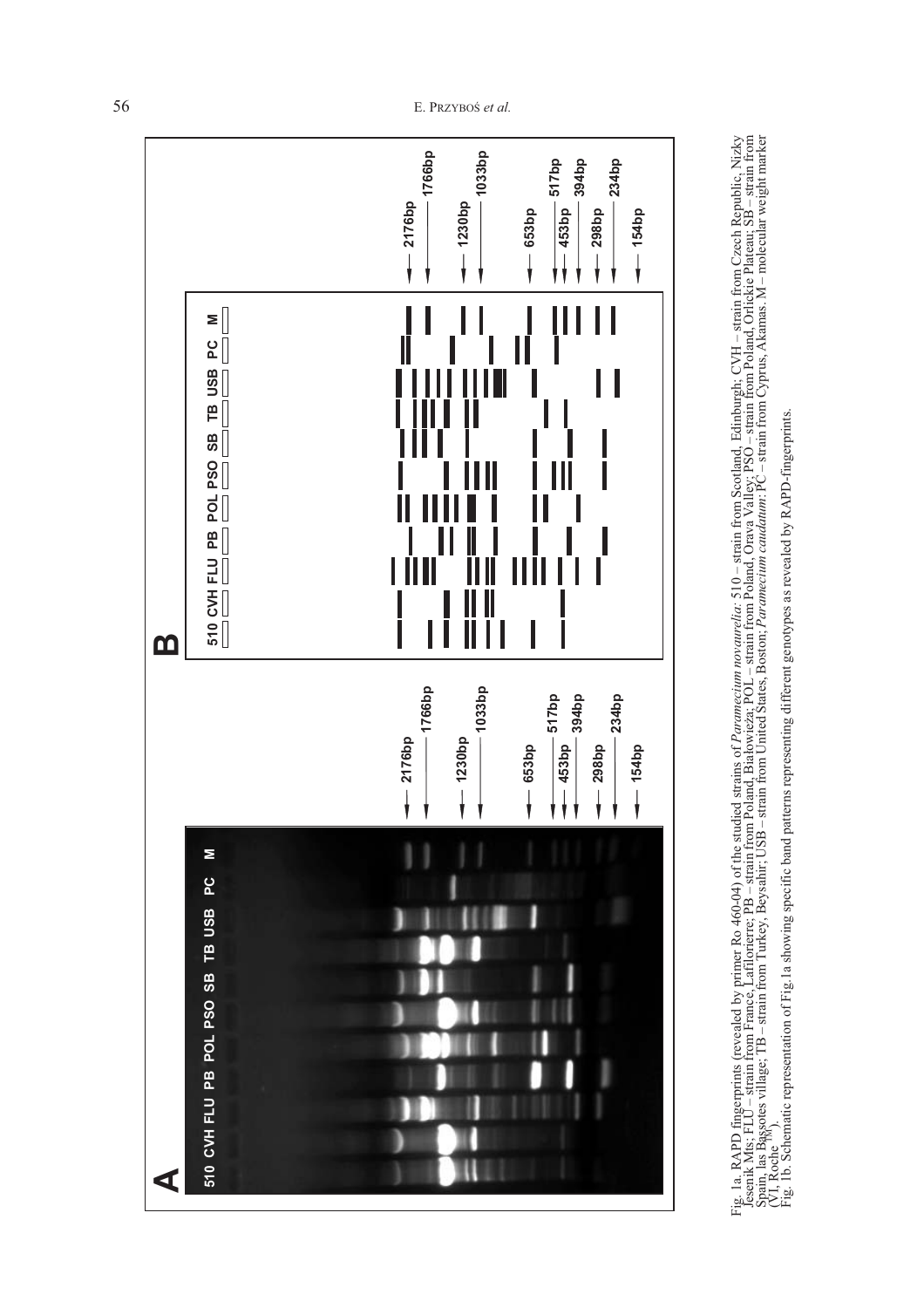

Fig. 1a. RAPD fingerprints (revealed by primer Ro 460-04) of the studied strains of *Paramecium novaurelia*: 510 – strain from Scotland, Edinburgh; CVH – strain from Czech Republic, Nizky<br>Jesenik Mts; FLU – strain from Fra Fig. 1a. RAPD fingerprins (revealed by primer Ro 460-04) of the studied strains of Paramecium novaurelia: 510 – strain from Scotland, Edinburgh; CVH – strain from Czech Republic, Nizky<br>Jesenik Mts; FLU – strain from France

56 E. PRZYBOŚ *et al.*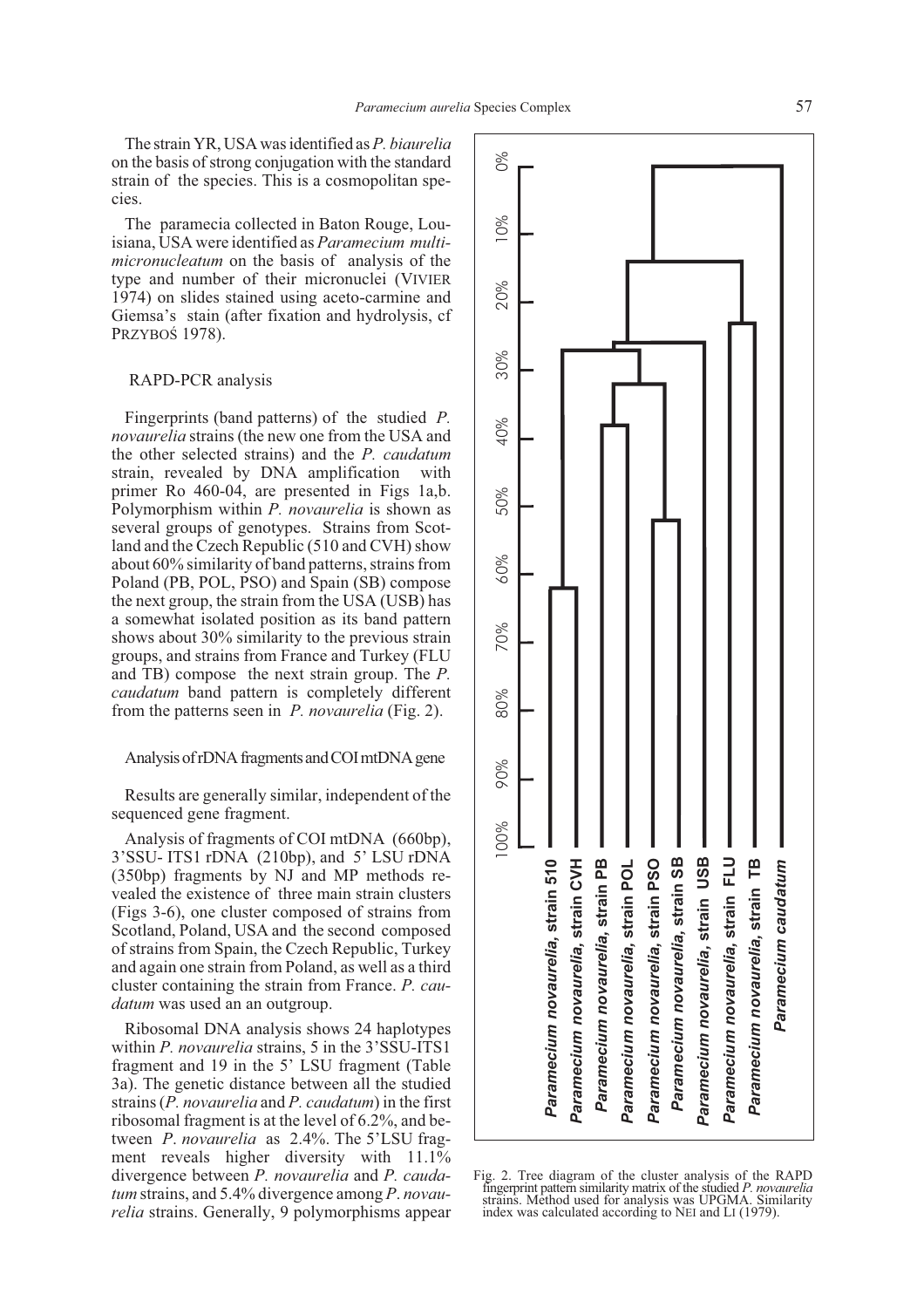The strain YR, USA was identified as*P. biaurelia* on the basis of strong conjugation with the standard strain of the species. This is a cosmopolitan species.

The paramecia collected in Baton Rouge, Louisiana, USA were identified as *Paramecium multimicronucleatum* on the basis of analysis of the type and number of their micronuclei (VIVIER 1974) on slides stained using aceto-carmine and Giemsa's stain (after fixation and hydrolysis, cf PRZYBOŚ 1978).

### RAPD-PCR analysis

Fingerprints (band patterns) of the studied *P. novaurelia* strains (the new one from the USA and the other selected strains) and the *P. caudatum* strain, revealed by DNA amplification with primer Ro 460-04, are presented in Figs 1a,b. Polymorphism within *P. novaurelia* is shown as several groups of genotypes. Strains from Scotland and the Czech Republic (510 and CVH) show about 60% similarity of band patterns, strains from Poland (PB, POL, PSO) and Spain (SB) compose the next group, the strain from the USA (USB) has a somewhat isolated position as its band pattern shows about 30% similarity to the previous strain groups, and strains from France and Turkey (FLU and TB) compose the next strain group. The *P. caudatum* band pattern is completely different from the patterns seen in *P. novaurelia* (Fig. 2).

### Analysis of rDNA fragments and COI mtDNA gene

Results are generally similar, independent of the sequenced gene fragment.

Analysis of fragments of COI mtDNA (660bp), 3'SSU- ITS1 rDNA (210bp), and 5' LSU rDNA (350bp) fragments by NJ and MP methods revealed the existence of three main strain clusters (Figs 3-6), one cluster composed of strains from Scotland, Poland, USA and the second composed of strains from Spain, the Czech Republic, Turkey and again one strain from Poland, as well as a third cluster containing the strain from France. *P. caudatum* was used an an outgroup.

Ribosomal DNA analysis shows 24 haplotypes within *P. novaurelia* strains, 5 in the 3'SSU-ITS1 fragment and 19 in the 5' LSU fragment (Table 3a). The genetic distance between all the studied strains (*P. novaurelia* and *P. caudatum*) in the first ribosomal fragment is at the level of 6.2%, and between *P*. *novaurelia* as 2.4%. The 5'LSU fragment reveals higher diversity with 11.1% divergence between *P. novaurelia* and *P. caudatum* strains, and 5.4% divergence among *P*. *novaurelia* strains. Generally, 9 polymorphisms appear



Fig. 2. Tree diagram of the cluster analysis of the RAPD fingerprint pattern similarity matrix of the studied *P. novaurelia* strains. Method used for analysis was UPGMA. Similarity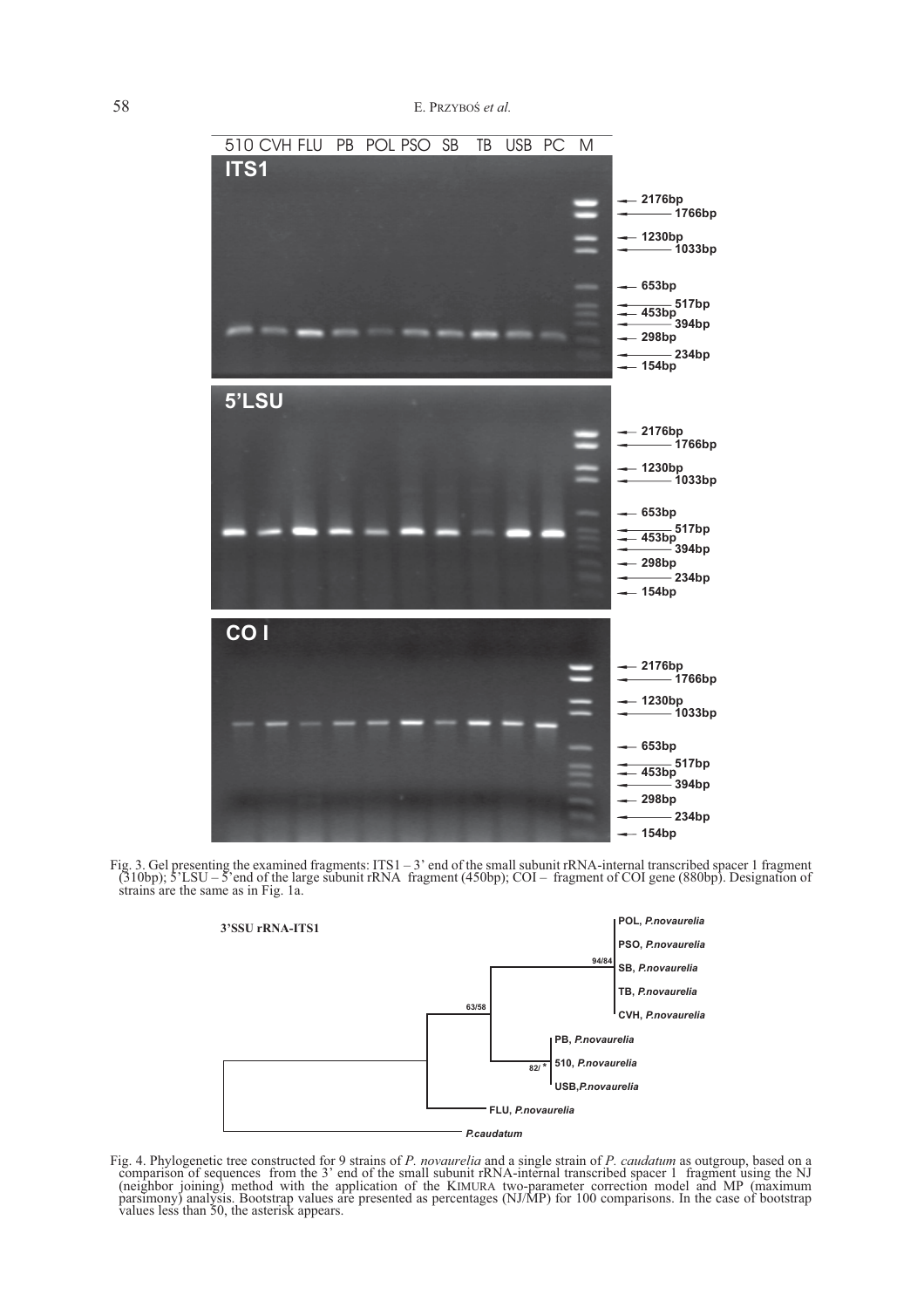

Fig. 3. Gel presenting the examined fragments: ITS1 – 3' end of the small subunit rRNA-internal transcribed spacer 1 fragment (310bp); 5'LSU – 5'end of the large subunit rRNA fragment (450bp); COI – fragment of COI gene (880bp). Designation of strains are the same as in Fig. 1a.



Fig. 4. Phylogenetic tree constructed for 9 strains of P. novaurelia and a single strain of P. caudatum as outgroup, based on a comparison of sequences from the 3' end of the small subunit rRNA-internal transcribed spacer (neighbor joining) method with the application of the KIMURA two-parameter correction model and MP (maximum<br>parsimony) analysis. Bootstrap values are presented as percentages (NJ/MP) for 100 comparisons. In the case of boo values less than 50, the asterisk appears.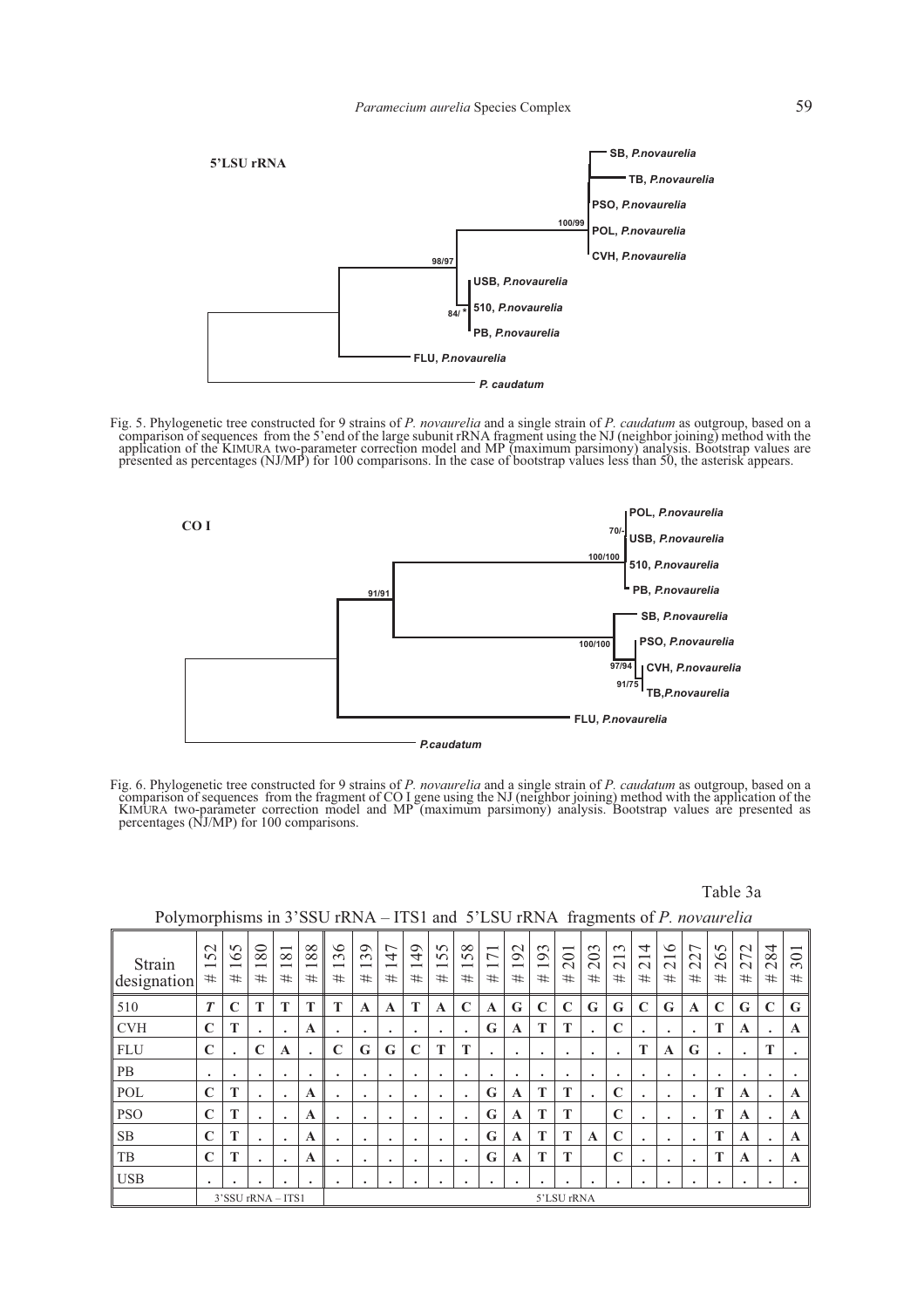

Fig. 5. Phylogenetic tree constructed for 9 strains of P. novaurelia and a single strain of P. caudatum as outgroup, based on a comparison of sequences from the 5'end of the large subunit rRNA fragment using the NJ (neighb application of the KIMURA two-parameter correction model and MP (maximum parsimony) analysis. Bootstrap values are<br>presented as percentages (NJ/MP) for 100 comparisons. In the case of bootstrap values less than 50, the ast



Fig. 6. Phylogenetic tree constructed for 9 strains of P. novaurelia and a single strain of P. caudatum as outgroup, based on a comparison of sequences from the fragment of CO I gene using the NJ (neighbor joining) method KIMURA two-parameter correction model and MP (maximum parsimony) analysis. Bootstrap values are presented as percentages (NJ/MP) for 100 comparisons.

### Table 3a

# Polymorphisms in 3'SSU rRNA – ITS1 and 5'LSU rRNA fragments of *P. novaurelia*

| Strain<br>designation | 52<br>$\overline{\phantom{0}}$<br># | $\Omega$<br>$\circ$<br>$\overline{\phantom{0}}$<br># | 80<br>$\overline{\phantom{0}}$<br># | $\overline{\phantom{0}}$<br>$\infty$<br>$\overline{\phantom{0}}$<br># | $\infty$<br>$\infty$<br>$\overline{\phantom{0}}$<br># | $\circ$<br>$\sim$<br>$\overline{\phantom{0}}$<br># | $\circ$<br>$\infty$<br>$\overline{\phantom{0}}$<br># | 47<br>$\overline{\phantom{0}}$<br># | $\overline{6}$<br>$\overline{\phantom{0}}$<br># | $\Omega$<br>$\Omega$<br>$\overline{\phantom{0}}$<br># | ${}^{\circ}$<br>S.<br>$\overline{\phantom{0}}$<br># | $\overline{\phantom{0}}$<br>$\overline{ }$<br># | $\mathbf{\sim}$<br>$\infty$<br>$\overline{\phantom{0}}$<br># | 93<br>$\overline{\phantom{0}}$<br># | $\overline{\phantom{0}}$<br>$\overline{\bullet}$<br>$\sim$<br># | $\mathfrak{g}$<br>⊝<br>$\sim$<br># | $\sim$<br>$\overline{\phantom{0}}$<br>$\sim$<br># | 4<br>$\overline{\phantom{0}}$<br>$\sim$<br># | $\circ$<br>$\overline{\phantom{0}}$<br>$\sim$<br># | $\overline{ }$<br>22<br># | 65<br>$\sim$<br># | 72<br>$\sim$<br># | 4<br>$\frac{8}{3}$<br># | $\overline{\phantom{0}}$<br>30<br># |
|-----------------------|-------------------------------------|------------------------------------------------------|-------------------------------------|-----------------------------------------------------------------------|-------------------------------------------------------|----------------------------------------------------|------------------------------------------------------|-------------------------------------|-------------------------------------------------|-------------------------------------------------------|-----------------------------------------------------|-------------------------------------------------|--------------------------------------------------------------|-------------------------------------|-----------------------------------------------------------------|------------------------------------|---------------------------------------------------|----------------------------------------------|----------------------------------------------------|---------------------------|-------------------|-------------------|-------------------------|-------------------------------------|
| 510                   | $\boldsymbol{T}$                    | C                                                    | T                                   | Т                                                                     | Т                                                     | T                                                  | A                                                    | A                                   | T                                               | A                                                     | $\mathbf C$                                         | A                                               | G                                                            | $\mathbf C$                         | C                                                               | G                                  | G                                                 | C                                            | G                                                  | $\mathbf A$               | $\mathbb{C}$      | G                 | $\mathbf C$             | G                                   |
| <b>CVH</b>            | $\mathbf C$                         | T                                                    |                                     |                                                                       | A                                                     | ٠                                                  | ٠                                                    | ٠                                   | ٠                                               | $\bullet$                                             | ٠                                                   | G                                               | $\mathbf A$                                                  | T                                   | T                                                               |                                    | $\mathbf C$                                       | ٠                                            | ٠                                                  | $\bullet$                 | T                 | A                 | $\bullet$               | A                                   |
| <b>FLU</b>            | $\mathbf C$                         | $\ddot{\phantom{0}}$                                 | $\mathbf C$                         | $\mathbf A$                                                           | $\cdot$                                               | $\mathbf C$                                        | G                                                    | G                                   | $\mathbf C$                                     | T                                                     | T                                                   |                                                 | ٠                                                            | ٠                                   | ٠                                                               | ٠                                  | $\bullet$                                         | T                                            | A                                                  | G                         | ٠                 |                   | T                       |                                     |
| <b>PB</b>             | ٠                                   | $\bullet$                                            | ٠                                   | ٠                                                                     | ٠                                                     | ٠                                                  | ٠                                                    | ٠                                   | ٠                                               | ٠                                                     | ٠                                                   | $\bullet$                                       | ٠                                                            | ٠                                   | ٠                                                               | $\bullet$                          | $\bullet$                                         | ٠                                            | ٠                                                  | ٠                         | ٠                 | ٠                 | $\bullet$               |                                     |
| POL                   | $\mathbf C$                         | T                                                    |                                     | $\bullet$                                                             | $\mathbf A$                                           | ٠                                                  | ٠                                                    | ٠                                   | ۰                                               | $\bullet$                                             | ٠                                                   | G                                               | $\mathbf A$                                                  | T                                   | T                                                               |                                    | $\mathbf C$                                       | ٠                                            |                                                    | $\bullet$                 | $\mathbf{T}$      | A                 | $\bullet$               | A                                   |
| <b>PSO</b>            | $\mathbf C$                         | T                                                    | ٠                                   | ٠                                                                     | A                                                     | ٠                                                  | ٠                                                    | ٠                                   |                                                 | $\bullet$                                             | $\bullet$                                           | G                                               | A                                                            | T                                   | T                                                               |                                    | $\mathbb{C}$                                      | ٠                                            |                                                    | $\bullet$                 | T                 | A                 | $\bullet$               | A                                   |
| <b>SB</b>             | $\mathbf C$                         | T                                                    | $\bullet$                           | $\ddot{\phantom{1}}$                                                  | A                                                     | ٠                                                  | ٠                                                    | ٠                                   |                                                 | $\bullet$                                             | ٠                                                   | G                                               | $\mathbf{A}$                                                 | T                                   | T                                                               | A                                  | $\mathbf C$                                       | ٠                                            | $\bullet$                                          | $\bullet$                 | T                 | A                 | $\bullet$               | A                                   |
| TB                    | $\mathbf C$                         | T                                                    | $\bullet$                           | $\bullet$                                                             | A                                                     | ٠                                                  | ٠                                                    | ٠                                   | ۰                                               | ٠                                                     | $\ddot{\phantom{0}}$                                | G                                               | $\mathbf{A}$                                                 | T                                   | T                                                               |                                    | $\mathbb{C}$                                      | ٠                                            | ٠                                                  | $\bullet$                 | T                 | A                 | $\bullet$               | A                                   |
| <b>USB</b>            | ٠                                   |                                                      | ٠                                   |                                                                       | ٠                                                     | ٠                                                  | ٠                                                    |                                     |                                                 | ٠                                                     | ٠                                                   |                                                 | ٠                                                            | ٠                                   |                                                                 |                                    | ٠                                                 |                                              |                                                    | ٠                         | ٠                 |                   |                         |                                     |
|                       |                                     |                                                      | 3'SSU rRNA - ITS1                   |                                                                       |                                                       |                                                    |                                                      |                                     |                                                 |                                                       |                                                     |                                                 |                                                              |                                     | 5'LSU rRNA                                                      |                                    |                                                   |                                              |                                                    |                           |                   |                   |                         |                                     |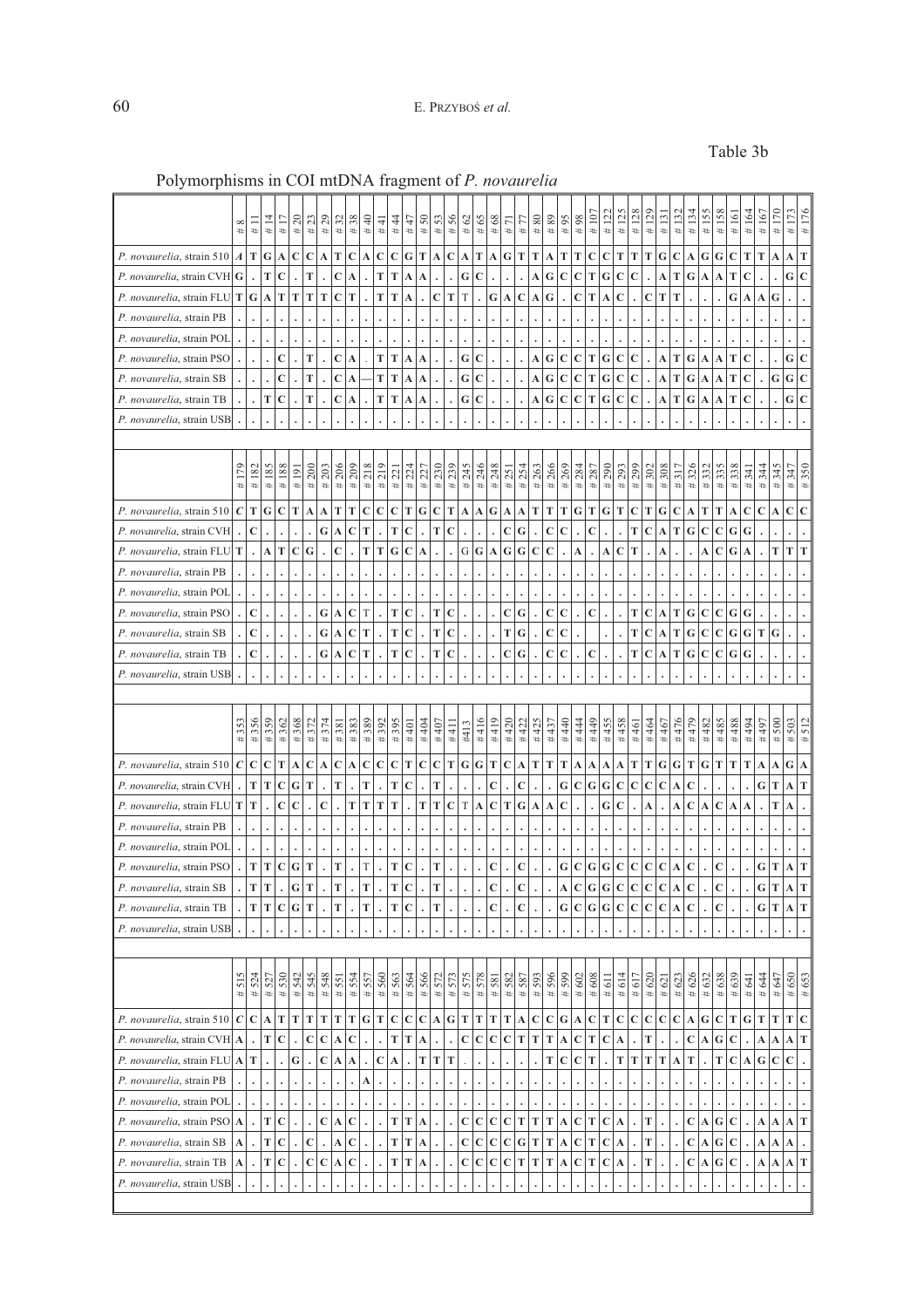# Table 3b

| T<br>$\mathbf G$<br>C<br>C<br>T<br>$\mathbf C$<br>$\mathbf C$<br>$\mathbf C$<br>G<br>T<br>$\mathbf C$<br>T<br>G<br>T<br>Т<br>Т<br>T<br>С<br>$\mathbf C$<br>T<br>Т<br>Т<br>G<br>C<br>G<br>G<br>$\mathbf C$<br>T<br>T<br>P. novaurelia, strain $510 \mid A$<br>т<br>A<br>A<br>A<br>A<br>A<br>A<br>A<br>A<br>А<br>A<br>$\mathbf G$<br>$\overline{C}$<br>T<br>T<br>$\mathbf C$<br>${\bf G}$<br>$\mathbf C$<br>T<br>T<br>G<br>$\mathbf C$<br>A<br>G<br>С<br>C<br>T<br>G<br>C<br>$\mathbf C$<br>T<br><i>P. novaurelia</i> , strain CVH $ G $<br>$\mathbf A$<br>A<br>т<br>A<br>C<br>A<br>A<br>A<br>$\overline{G}$<br>G<br>T<br>T<br>T<br>T<br>$\mathbf C$<br>T<br>T<br>T<br>$\mathbf C$<br>T<br>T<br>A<br>C<br>G<br>Т<br>C<br>T<br>Т<br>G<br>G<br><i>P. novaurelia</i> , strain FLU $\mathbf{T}$<br>$\mathbf A$<br>A<br>А<br>С<br>A<br>C<br>A<br>A<br>P. novaurelia, strain PB<br>P. novaurelia, strain POL<br>$\mathbf G$<br>G<br>$\mathbf C$<br>C<br>T<br>$\mathbf C$<br>T<br>T<br>$\mathbf C$<br>G<br>C<br>G<br>P. novaurelia, strain PSO<br>C<br>T<br>C<br>C<br>T<br>G<br>T<br>$\mathbf C$<br>$\mathbf A$<br>$\mathbf A$<br>A<br>A<br>A<br>A<br>A<br>$\mathbf G$<br>${\bf G}$<br>$\overline{c}$<br>$\mathbf C$<br>T<br>$\mathbf C$<br>T<br>$\mathbf T$<br>${\bf G}$<br>${\bf G}$<br>$\mathbf G$<br>T<br>P. novaurelia, strain SB<br>$\mathbf C$<br>G<br>С<br>C<br>т<br>C<br>$\mathbf C$<br>Т<br>$\mathbf C$<br>$\vert$ A<br>A<br>A<br>A<br>A<br>A<br>A<br>G<br>T<br>$\mathbf C$<br>${\bf G}$<br>$\mathbf C$<br>P. novaurelia, strain TB<br>C<br>T<br>T<br>T<br>C<br>G<br>C<br>T<br>G<br>C<br>C<br>T<br>G<br>T<br>A<br>A<br>C<br>$\mathbf A$<br>C<br>A<br>A<br>A<br>A<br>$\ddot{\phantom{0}}$<br>$\cdot$<br>$\ddot{\phantom{0}}$<br>P. novaurelia, strain USB<br>#206<br>218<br>#219<br>#179<br>#188<br># 203<br># 209<br>#230<br># 245<br># 246<br># 248<br>#266<br>#269<br># 299<br>#308<br>350<br>185<br>200<br># 224<br>#239<br># 254<br># 263<br># 284<br># 290<br># 293<br>#302<br>326<br>338<br>345<br>#182<br># 287<br>332<br>335<br>347<br># 227<br>317<br>344<br>#191<br># 251<br>341<br>$\frac{4221}{2}$<br>#<br>#<br>$\ddot{}$<br>#<br>$\ddagger$<br>#<br>$\ddot{}$<br>#<br>$\ddot{}$<br>$\ddot{}$<br>#<br>$\ddagger$<br>$\frac{1}{2}$<br>P. novaurelia, strain 510   $C$<br>T<br>G<br>T<br>T<br>T<br>G<br>G<br>T<br>T<br>T<br>C<br>$\mathbf C$<br>C<br>T<br>A<br>C<br>C<br>C<br>C<br>T<br>A<br>A<br>A<br>т<br>G<br>т<br>G<br>т<br>С<br>т<br>G<br>C<br>т<br>A<br>$\mathbf C$<br>A<br>A<br>A<br>A<br>C<br>C<br>G<br>T<br>$\mathbf C$<br>T<br>$\mathbf C$<br>G<br>C<br>C<br>$\mathbf C$<br>T<br>C<br>Т<br>G<br>$\mathbf C$<br>$\mathbf C$<br>G<br>G<br>P. novaurelia, strain CVH<br>A<br>C<br>т<br>С<br>A<br>G<br>T<br>T<br>P. novaurelia, strain FLU T<br>A<br>T<br>$\mathbf C$<br>$\mathbf C$<br>T<br>T<br>$\mathbf C$<br>G<br>G<br>G<br>$\mathbf C$<br>T<br>$\mathbf C$<br>G<br>T<br>G<br>G<br>C<br>A<br>C<br>A<br>A<br>$\mathbf A$<br>А<br>А<br>А<br>P. novaurelia, strain PB<br>P. novaurelia, strain POL<br>$\mathbf C$<br>G<br>$\mathbf C$<br>T<br>G<br>$\mathbf C$<br>$\mathbf G$<br>G<br>P. novaurelia, strain PSO<br>$\mathbf C$<br>T<br>T<br>C<br>C<br>С<br>C<br>T<br>$\boldsymbol{\rm A}$<br>Т<br>$\mathbf C$<br>$\mathbf C$<br>G<br>A<br>С<br>C<br>G<br>G<br>P. novaurelia, strain SB<br>$\mathbf C$<br>T<br>T<br>$\mathbf C$<br>T<br>C<br>T<br>С<br>C<br>T<br>C<br>$\mathbf C$<br>$\mathbf C$<br>G<br>T<br>G<br>A<br>т<br>G<br>G<br>A<br>$\mathbf C$<br>G<br>$\mathbf C$<br>T<br>T<br>$\mathbf C$<br>T<br>C<br>G<br>С<br>C<br>C<br>T<br>$\mathbf C$<br>т<br>G<br>$\mathbf C$<br>$\mathbf C$<br>G<br>G<br>P. novaurelia, strain TB<br>С<br>A<br>A<br>$\bullet$<br>P. novaurelia, strain USB<br>#389<br>#395<br>#419<br>#455<br>476<br>479<br>356<br>359<br>362<br>368<br>#372<br>#374<br>#383<br>#392<br>#404<br>#416<br>420<br>#422<br>425<br>40<br># 444<br>449<br>458<br>464<br>#467<br>482<br>485<br>488<br>500<br>503<br>512<br>#353<br>#381<br>#407<br>#437<br>494<br>497<br>#401<br>#461<br>#411<br>#413<br>$\ddot{}$<br>$\pm$<br>$\ddot{}$<br>$\ddot{}$<br>$\ddagger$<br>#<br>#<br>$\ddagger$<br>$\ddagger$<br>$\frac{1}{2}$<br>#<br>$\ddagger$<br>$\ddagger$<br>$\ddagger$<br>$\ddagger$<br>$\ddagger$<br>$\ddagger$<br>#<br>$\ddagger$<br>$\ddagger$<br>$\mathbf C$<br>$\mathbf T$<br>$\bf G$<br>T<br>${\bf G}$<br>${\bf G}$<br>P. novaurelia, strain 510   $C$<br>$\mathbf C$<br>T<br>C<br>$\mathbf C$<br>$\mathbf C$<br>$\mathbf C$<br>C<br>$\mathbf C$<br>$\mathbf C$<br>T<br>G<br>C<br>T<br>T<br>т<br>Т<br>T<br>G<br>T<br>T<br>T<br>T<br>G<br>A<br>A<br>A<br>A<br>А<br>A<br>A<br>А<br>A<br>A<br>А<br>T<br>T<br>T<br>T<br>T<br>T<br>${\bf G}$<br>P. novaurelia, strain CVH<br>$\mathbf C$<br>G<br>T<br>$\mathbf C$<br>C<br>C<br>G<br>С<br>G<br>C<br>C<br>$\mathbf C$<br>$\mathbf C$<br>G<br>T<br>T<br>C<br>A<br>A<br>T<br>C<br>$\mathbf C$<br>T<br>T<br>T<br>T<br>C<br>G<br>G<br>P. novaurelia, strain FLU $T$<br>$\mathbf C$<br>T<br>T<br>T<br>$\mathbf C$<br>т<br>C<br>$\mathbf C$<br>$\mathbf C$<br>$\mathbf C$<br>T<br>A<br>A<br>A<br>A<br>А<br>A<br>А<br>A<br>P. novaurelia, strain PB<br>P. novaurelia, strain POL<br>T<br>T<br>T<br>T<br>$\mathbf C$<br>T<br>T<br>T<br>$\mathbf C$<br>G<br>T<br>C<br>C<br>G<br>C<br>C<br>$\mathbf C$<br>$\mathbf C$<br>C<br>G<br>T<br>P. novaurelia, strain PSO<br>G<br>С<br>G<br>С<br>A<br>A<br>T<br>T<br>T<br>T<br>$\mathbf C$<br>$\mathbf G$<br>$\mathbf C$<br>$\mathbf C$<br>$\overline{C}$<br>$\overline{C}$<br>Ġ<br>T<br>G<br>T<br>T<br>C<br>Ċ<br>G<br>$\mathbf C$<br>$\mathbf C$<br>T<br>P. novaurelia, strain SB<br>C<br>A<br>A<br>T T<br>$\mathbf C$<br> G T<br>T<br>T<br>T<br>$\mathbf C$<br>T<br>${\bf G}$<br>$\mathbf C$<br> G G<br>$\mathbf C$<br>$ {\bf C} {\bf C}$<br>T<br>P. novaurelia, strain TB<br>С<br>С<br>$\mathbf C$<br>$\mathbf C$<br>$\mathbf C$<br>G T<br>$\mathbf{A}$<br>A<br>P. novaurelia, strain USB<br>#650<br>515<br>530<br>545<br>548<br>575<br>578<br>593<br>596<br>599<br>638<br>#653<br>524<br>542<br>557<br>560<br>563<br>564<br>566<br>573<br>582<br>#602<br>#608<br>626<br>632<br>639<br>#647<br>527<br>554<br>572<br>#587<br>#614<br>#617<br>#644<br>#620<br>623<br>551<br>#581<br>#641<br>#611<br>#621<br>#<br>$\ddagger$<br>#<br>#<br>$\ddagger$<br>#<br>#<br>$\ddagger$<br>#<br>$\ddot{}$<br>#<br>$\ddagger$<br>$\ddagger$<br>$\ddagger$<br>$\ddot{}$<br>$\ddot{}$<br>$\ddagger$<br>$\ddagger$<br>$\ddagger$<br>#<br>$\ddagger$<br>#<br>$\ddagger$<br>$\ddagger$<br>₩<br>$\mathbf G$<br>P. novaurelia, strain 510 $ C $<br>$ C $ A<br>T<br>T<br>${\bf T}$<br>T<br>T<br>T<br>$\mathbf T$<br>$\mathbf C$<br>$\mathbf C$<br>$\mathbf C$<br>${\bf G}$<br>T<br>T<br>T<br>T<br>${\bf A}$<br>$\mathbf C$<br>T<br>$\mathbf C$<br>$\mathbf C$<br>$\mathbf C$<br>$ {\bf C}$<br>$\mathbf C$<br>${\bf G}$<br>$\mathbf C$<br>T<br>G T<br>T<br>T<br>$\mathbf C$<br>$\mathbf A$<br>C<br> G <br>$\bf A$<br>C<br>$\mathbf A$<br>T<br>$\mathbf C$<br>C<br>$\mathbf C$<br>T  <br>T<br>$\mathbf C$<br>$\mathbf C$<br>$\mathbf C$<br>$\mathbf C$<br>T<br>$\mathbf T$<br>T<br>C<br>$\mathbf T$<br>$\mathbf C$<br>T<br>$\mathbf C$<br>${\bf G}$<br>$\mathbf C$<br>T<br>P. novaurelia, strain CVH A<br>$\mathbf C$<br>$\boldsymbol{\rm A}$<br>A<br>A<br>A<br>A<br>A<br>A<br>A<br>$\mathbf T$<br>$\mathbf C$<br>$\mathbf T$<br>$\mathbf C$<br>$\mathbf C$<br>T<br>T<br>T<br>$\mathbf C$<br>$\mathbf C$<br>T<br>T<br>${\bf T}$<br>${\bf T}$<br>T<br>$\mathbf G$<br>$\mathbf C$<br>$\mathbf C$<br>P. novaurelia, strain FLU A<br>G<br>$\bf A$<br>$\vert$ A<br>T<br>$\boldsymbol{\rm A}$<br>Т<br>$\boldsymbol{\rm A}$<br>A<br>$\ddot{\phantom{0}}$<br>$\ddot{\phantom{0}}$<br>$\ddot{\phantom{0}}$<br>$\ddot{\phantom{0}}$<br>P. novaurelia, strain PB<br>A<br>P. novaurelia, strain POL<br>$\mathbf T$<br>T<br>$\mathbf C$<br>C<br>$\mathbf C$<br>T<br>$\mathbf C$<br>$\mathbf C$<br>$\mathbf C$<br>C<br>T<br>$\mathbf T$<br>T<br>$\mathbf C$<br>T<br>$\mathbf C$<br>$\mathbf C$<br>$\mathbf G$<br>P. novaurelia, strain PSO A<br>$\mathbf A$<br>T<br>T<br>$\mathbf A$<br>A<br>A<br>A<br>A<br>$\mathbf C$<br>A<br>A<br>T<br>$\mathbf C$<br>T<br>$\overline{c}$<br>$\mathbf C$<br>$\mathbf C$<br>T<br>$\mathbf C$<br>$\mathbf C$<br>$\mathbf C$<br>$\mathbf C$<br>${\bf G}$<br>$\mathbf T$<br>T<br>C<br>T<br>$C$ A<br>T<br>${\bf G}$<br>$\mathbf C$<br>P. novaurelia, strain SB<br>A<br>$\Lambda$<br>A<br>$\mathbf A$<br>$\mathbf A$<br>A<br>A<br>A<br>$\mathbf C$<br>$\mathbf T$<br>T<br>$\mathbf C$<br>$\mathbf C$<br>$\mathbf C$<br>T<br>${\bf G}$<br>A<br>P. novaurelia, strain TB<br>$\mathbf C$<br>T<br>T<br>С<br>$\mathbf C$<br>С<br>С<br>T<br>Т<br>T<br>A<br>С<br>т<br>С<br>$\boldsymbol{\rm A}$<br>$\mathbf A$<br>$\mathbf C$<br>A<br>$\boldsymbol{A}$<br>A<br>A<br>A<br>$\cdot$<br>P. novaurelia, strain USB | $\infty$<br>$\ddagger$ | $\ddagger$ | $\ddagger$ | $\overline{1}$<br>$\ddot{}$ | $\overline{c}$<br># | 23<br>$\ddot{}$ | 29<br>$\ddagger$ | 32<br># | 38<br>$\ddagger$ | ¥<br># | 4<br># | $\ddot{4}$<br>$\ddot{}$ | 47<br># | 50<br>$\ddot{}$ | 53<br># | 56<br>$\ddot{}$ | 8<br>$\ddot{}$ | 65<br># | 68<br># | 급<br># | 77<br># | $\frac{80}{2}$<br># | 89<br># | $98$<br>95<br>#<br>$\ddagger$ | 107<br>$\ddagger$ | 122<br>$\ddagger$ | 125<br># | 128<br>$\ddagger$ | 129<br>$\ddagger$ | $\overline{131}$<br>$\ddagger$ | #132 | 134<br># | 155<br>$\ddot{}$ | 158<br>$\frac{1}{2}$ | $\overline{161}$<br># | 164<br>$\ddot{}$ | 167<br>$\ddot{}$ | 170<br>$\frac{1}{2}$ | 173<br># | #176 |
|--------------------------------------------------------------------------------------------------------------------------------------------------------------------------------------------------------------------------------------------------------------------------------------------------------------------------------------------------------------------------------------------------------------------------------------------------------------------------------------------------------------------------------------------------------------------------------------------------------------------------------------------------------------------------------------------------------------------------------------------------------------------------------------------------------------------------------------------------------------------------------------------------------------------------------------------------------------------------------------------------------------------------------------------------------------------------------------------------------------------------------------------------------------------------------------------------------------------------------------------------------------------------------------------------------------------------------------------------------------------------------------------------------------------------------------------------------------------------------------------------------------------------------------------------------------------------------------------------------------------------------------------------------------------------------------------------------------------------------------------------------------------------------------------------------------------------------------------------------------------------------------------------------------------------------------------------------------------------------------------------------------------------------------------------------------------------------------------------------------------------------------------------------------------------------------------------------------------------------------------------------------------------------------------------------------------------------------------------------------------------------------------------------------------------------------------------------------------------------------------------------------------------------------------------------------------------------------------------------------------------------------------------------------------------------------------------------------------------------------------------------------------------------------------------------------------------------------------------------------------------------------------------------------------------------------------------------------------------------------------------------------------------------------------------------------------------------------------------------------------------------------------------------------------------------------------------------------------------------------------------------------------------------------------------------------------------------------------------------------------------------------------------------------------------------------------------------------------------------------------------------------------------------------------------------------------------------------------------------------------------------------------------------------------------------------------------------------------------------------------------------------------------------------------------------------------------------------------------------------------------------------------------------------------------------------------------------------------------------------------------------------------------------------------------------------------------------------------------------------------------------------------------------------------------------------------------------------------------------------------------------------------------------------------------------------------------------------------------------------------------------------------------------------------------------------------------------------------------------------------------------------------------------------------------------------------------------------------------------------------------------------------------------------------------------------------------------------------------------------------------------------------------------------------------------------------------------------------------------------------------------------------------------------------------------------------------------------------------------------------------------------------------------------------------------------------------------------------------------------------------------------------------------------------------------------------------------------------------------------------------------------------------------------------------------------------------------------------------------------------------------------------------------------------------------------------------------------------------------------------------------------------------------------------------------------------------------------------------------------------------------------------------------------------------------------------------------------------------------------------------------------------------------------------------------------------------------------------------------------------------------------------------------------------------------------------------------------------------------------------------------------------------------------------------------------------------------------------------------------------------------------------------------------------------------------------------------------------------------------------------------------------------------------------------------------------------------------------------------------------------------------------------------------------------------------------------------------------------------------------------------------------------------------------------------------------------------------------------------------------------------------------------------------------------------------------------------------------------------------------------------------------------------------------------------------------------------------------------------------------------------------------------------------------------------------------------------------------------------------------------------------------------------------------------------------------------------------------------------------------------------------------------------------------------------------------------------------------------------------------------------------------------------------------------------------------------------------------------------------------------------------------------------------------------------------------------------------------------------------------------------------------------------------------------------------------------------------------------------------------------------------------------------------------------------------------------------------------------------------------------------------------------------------------------------------------------------------------------------------------------------------------------------------------------------------------------------------------------------------------------------------------------------------------------------------------------------------------------------------------------------------------------------------------------------------------------------------------------------------------------------------------------------------------------------------------------------------------------------------------------------------------------------------------------------------------------------------------------------------------------------------------------------------------------------------------------------------------------------------------------------------------------------------------------------------------------------------------------------------------------------------------------------------------------------------|------------------------|------------|------------|-----------------------------|---------------------|-----------------|------------------|---------|------------------|--------|--------|-------------------------|---------|-----------------|---------|-----------------|----------------|---------|---------|--------|---------|---------------------|---------|-------------------------------|-------------------|-------------------|----------|-------------------|-------------------|--------------------------------|------|----------|------------------|----------------------|-----------------------|------------------|------------------|----------------------|----------|------|
|                                                                                                                                                                                                                                                                                                                                                                                                                                                                                                                                                                                                                                                                                                                                                                                                                                                                                                                                                                                                                                                                                                                                                                                                                                                                                                                                                                                                                                                                                                                                                                                                                                                                                                                                                                                                                                                                                                                                                                                                                                                                                                                                                                                                                                                                                                                                                                                                                                                                                                                                                                                                                                                                                                                                                                                                                                                                                                                                                                                                                                                                                                                                                                                                                                                                                                                                                                                                                                                                                                                                                                                                                                                                                                                                                                                                                                                                                                                                                                                                                                                                                                                                                                                                                                                                                                                                                                                                                                                                                                                                                                                                                                                                                                                                                                                                                                                                                                                                                                                                                                                                                                                                                                                                                                                                                                                                                                                                                                                                                                                                                                                                                                                                                                                                                                                                                                                                                                                                                                                                                                                                                                                                                                                                                                                                                                                                                                                                                                                                                                                                                                                                                                                                                                                                                                                                                                                                                                                                                                                                                                                                                                                                                                                                                                                                                                                                                                                                                                                                                                                                                                                                                                                                                                                                                                                                                                                                                                                                                                                                                                                                                                                                                                                                                                                                                                                                                                                                                                                                                                                                                                                                                                                                                                                                                                                                              |                        |            |            |                             |                     |                 |                  |         |                  |        |        |                         |         |                 |         |                 |                |         |         |        |         |                     |         |                               |                   |                   |          |                   |                   |                                |      |          |                  |                      |                       |                  |                  |                      |          |      |
|                                                                                                                                                                                                                                                                                                                                                                                                                                                                                                                                                                                                                                                                                                                                                                                                                                                                                                                                                                                                                                                                                                                                                                                                                                                                                                                                                                                                                                                                                                                                                                                                                                                                                                                                                                                                                                                                                                                                                                                                                                                                                                                                                                                                                                                                                                                                                                                                                                                                                                                                                                                                                                                                                                                                                                                                                                                                                                                                                                                                                                                                                                                                                                                                                                                                                                                                                                                                                                                                                                                                                                                                                                                                                                                                                                                                                                                                                                                                                                                                                                                                                                                                                                                                                                                                                                                                                                                                                                                                                                                                                                                                                                                                                                                                                                                                                                                                                                                                                                                                                                                                                                                                                                                                                                                                                                                                                                                                                                                                                                                                                                                                                                                                                                                                                                                                                                                                                                                                                                                                                                                                                                                                                                                                                                                                                                                                                                                                                                                                                                                                                                                                                                                                                                                                                                                                                                                                                                                                                                                                                                                                                                                                                                                                                                                                                                                                                                                                                                                                                                                                                                                                                                                                                                                                                                                                                                                                                                                                                                                                                                                                                                                                                                                                                                                                                                                                                                                                                                                                                                                                                                                                                                                                                                                                                                                                              |                        |            |            |                             |                     |                 |                  |         |                  |        |        |                         |         |                 |         |                 |                |         |         |        |         |                     |         |                               |                   |                   |          |                   |                   |                                |      |          |                  |                      |                       |                  |                  |                      |          |      |
|                                                                                                                                                                                                                                                                                                                                                                                                                                                                                                                                                                                                                                                                                                                                                                                                                                                                                                                                                                                                                                                                                                                                                                                                                                                                                                                                                                                                                                                                                                                                                                                                                                                                                                                                                                                                                                                                                                                                                                                                                                                                                                                                                                                                                                                                                                                                                                                                                                                                                                                                                                                                                                                                                                                                                                                                                                                                                                                                                                                                                                                                                                                                                                                                                                                                                                                                                                                                                                                                                                                                                                                                                                                                                                                                                                                                                                                                                                                                                                                                                                                                                                                                                                                                                                                                                                                                                                                                                                                                                                                                                                                                                                                                                                                                                                                                                                                                                                                                                                                                                                                                                                                                                                                                                                                                                                                                                                                                                                                                                                                                                                                                                                                                                                                                                                                                                                                                                                                                                                                                                                                                                                                                                                                                                                                                                                                                                                                                                                                                                                                                                                                                                                                                                                                                                                                                                                                                                                                                                                                                                                                                                                                                                                                                                                                                                                                                                                                                                                                                                                                                                                                                                                                                                                                                                                                                                                                                                                                                                                                                                                                                                                                                                                                                                                                                                                                                                                                                                                                                                                                                                                                                                                                                                                                                                                                                              |                        |            |            |                             |                     |                 |                  |         |                  |        |        |                         |         |                 |         |                 |                |         |         |        |         |                     |         |                               |                   |                   |          |                   |                   |                                |      |          |                  |                      |                       |                  |                  |                      |          |      |
|                                                                                                                                                                                                                                                                                                                                                                                                                                                                                                                                                                                                                                                                                                                                                                                                                                                                                                                                                                                                                                                                                                                                                                                                                                                                                                                                                                                                                                                                                                                                                                                                                                                                                                                                                                                                                                                                                                                                                                                                                                                                                                                                                                                                                                                                                                                                                                                                                                                                                                                                                                                                                                                                                                                                                                                                                                                                                                                                                                                                                                                                                                                                                                                                                                                                                                                                                                                                                                                                                                                                                                                                                                                                                                                                                                                                                                                                                                                                                                                                                                                                                                                                                                                                                                                                                                                                                                                                                                                                                                                                                                                                                                                                                                                                                                                                                                                                                                                                                                                                                                                                                                                                                                                                                                                                                                                                                                                                                                                                                                                                                                                                                                                                                                                                                                                                                                                                                                                                                                                                                                                                                                                                                                                                                                                                                                                                                                                                                                                                                                                                                                                                                                                                                                                                                                                                                                                                                                                                                                                                                                                                                                                                                                                                                                                                                                                                                                                                                                                                                                                                                                                                                                                                                                                                                                                                                                                                                                                                                                                                                                                                                                                                                                                                                                                                                                                                                                                                                                                                                                                                                                                                                                                                                                                                                                                                              |                        |            |            |                             |                     |                 |                  |         |                  |        |        |                         |         |                 |         |                 |                |         |         |        |         |                     |         |                               |                   |                   |          |                   |                   |                                |      |          |                  |                      |                       |                  |                  |                      |          |      |
|                                                                                                                                                                                                                                                                                                                                                                                                                                                                                                                                                                                                                                                                                                                                                                                                                                                                                                                                                                                                                                                                                                                                                                                                                                                                                                                                                                                                                                                                                                                                                                                                                                                                                                                                                                                                                                                                                                                                                                                                                                                                                                                                                                                                                                                                                                                                                                                                                                                                                                                                                                                                                                                                                                                                                                                                                                                                                                                                                                                                                                                                                                                                                                                                                                                                                                                                                                                                                                                                                                                                                                                                                                                                                                                                                                                                                                                                                                                                                                                                                                                                                                                                                                                                                                                                                                                                                                                                                                                                                                                                                                                                                                                                                                                                                                                                                                                                                                                                                                                                                                                                                                                                                                                                                                                                                                                                                                                                                                                                                                                                                                                                                                                                                                                                                                                                                                                                                                                                                                                                                                                                                                                                                                                                                                                                                                                                                                                                                                                                                                                                                                                                                                                                                                                                                                                                                                                                                                                                                                                                                                                                                                                                                                                                                                                                                                                                                                                                                                                                                                                                                                                                                                                                                                                                                                                                                                                                                                                                                                                                                                                                                                                                                                                                                                                                                                                                                                                                                                                                                                                                                                                                                                                                                                                                                                                                              |                        |            |            |                             |                     |                 |                  |         |                  |        |        |                         |         |                 |         |                 |                |         |         |        |         |                     |         |                               |                   |                   |          |                   |                   |                                |      |          |                  |                      |                       |                  |                  |                      |          |      |
|                                                                                                                                                                                                                                                                                                                                                                                                                                                                                                                                                                                                                                                                                                                                                                                                                                                                                                                                                                                                                                                                                                                                                                                                                                                                                                                                                                                                                                                                                                                                                                                                                                                                                                                                                                                                                                                                                                                                                                                                                                                                                                                                                                                                                                                                                                                                                                                                                                                                                                                                                                                                                                                                                                                                                                                                                                                                                                                                                                                                                                                                                                                                                                                                                                                                                                                                                                                                                                                                                                                                                                                                                                                                                                                                                                                                                                                                                                                                                                                                                                                                                                                                                                                                                                                                                                                                                                                                                                                                                                                                                                                                                                                                                                                                                                                                                                                                                                                                                                                                                                                                                                                                                                                                                                                                                                                                                                                                                                                                                                                                                                                                                                                                                                                                                                                                                                                                                                                                                                                                                                                                                                                                                                                                                                                                                                                                                                                                                                                                                                                                                                                                                                                                                                                                                                                                                                                                                                                                                                                                                                                                                                                                                                                                                                                                                                                                                                                                                                                                                                                                                                                                                                                                                                                                                                                                                                                                                                                                                                                                                                                                                                                                                                                                                                                                                                                                                                                                                                                                                                                                                                                                                                                                                                                                                                                                              |                        |            |            |                             |                     |                 |                  |         |                  |        |        |                         |         |                 |         |                 |                |         |         |        |         |                     |         |                               |                   |                   |          |                   |                   |                                |      |          |                  |                      |                       |                  |                  |                      |          |      |
|                                                                                                                                                                                                                                                                                                                                                                                                                                                                                                                                                                                                                                                                                                                                                                                                                                                                                                                                                                                                                                                                                                                                                                                                                                                                                                                                                                                                                                                                                                                                                                                                                                                                                                                                                                                                                                                                                                                                                                                                                                                                                                                                                                                                                                                                                                                                                                                                                                                                                                                                                                                                                                                                                                                                                                                                                                                                                                                                                                                                                                                                                                                                                                                                                                                                                                                                                                                                                                                                                                                                                                                                                                                                                                                                                                                                                                                                                                                                                                                                                                                                                                                                                                                                                                                                                                                                                                                                                                                                                                                                                                                                                                                                                                                                                                                                                                                                                                                                                                                                                                                                                                                                                                                                                                                                                                                                                                                                                                                                                                                                                                                                                                                                                                                                                                                                                                                                                                                                                                                                                                                                                                                                                                                                                                                                                                                                                                                                                                                                                                                                                                                                                                                                                                                                                                                                                                                                                                                                                                                                                                                                                                                                                                                                                                                                                                                                                                                                                                                                                                                                                                                                                                                                                                                                                                                                                                                                                                                                                                                                                                                                                                                                                                                                                                                                                                                                                                                                                                                                                                                                                                                                                                                                                                                                                                                                              |                        |            |            |                             |                     |                 |                  |         |                  |        |        |                         |         |                 |         |                 |                |         |         |        |         |                     |         |                               |                   |                   |          |                   |                   |                                |      |          |                  |                      |                       |                  |                  |                      |          |      |
|                                                                                                                                                                                                                                                                                                                                                                                                                                                                                                                                                                                                                                                                                                                                                                                                                                                                                                                                                                                                                                                                                                                                                                                                                                                                                                                                                                                                                                                                                                                                                                                                                                                                                                                                                                                                                                                                                                                                                                                                                                                                                                                                                                                                                                                                                                                                                                                                                                                                                                                                                                                                                                                                                                                                                                                                                                                                                                                                                                                                                                                                                                                                                                                                                                                                                                                                                                                                                                                                                                                                                                                                                                                                                                                                                                                                                                                                                                                                                                                                                                                                                                                                                                                                                                                                                                                                                                                                                                                                                                                                                                                                                                                                                                                                                                                                                                                                                                                                                                                                                                                                                                                                                                                                                                                                                                                                                                                                                                                                                                                                                                                                                                                                                                                                                                                                                                                                                                                                                                                                                                                                                                                                                                                                                                                                                                                                                                                                                                                                                                                                                                                                                                                                                                                                                                                                                                                                                                                                                                                                                                                                                                                                                                                                                                                                                                                                                                                                                                                                                                                                                                                                                                                                                                                                                                                                                                                                                                                                                                                                                                                                                                                                                                                                                                                                                                                                                                                                                                                                                                                                                                                                                                                                                                                                                                                                              |                        |            |            |                             |                     |                 |                  |         |                  |        |        |                         |         |                 |         |                 |                |         |         |        |         |                     |         |                               |                   |                   |          |                   |                   |                                |      |          |                  |                      |                       |                  |                  |                      |          |      |
|                                                                                                                                                                                                                                                                                                                                                                                                                                                                                                                                                                                                                                                                                                                                                                                                                                                                                                                                                                                                                                                                                                                                                                                                                                                                                                                                                                                                                                                                                                                                                                                                                                                                                                                                                                                                                                                                                                                                                                                                                                                                                                                                                                                                                                                                                                                                                                                                                                                                                                                                                                                                                                                                                                                                                                                                                                                                                                                                                                                                                                                                                                                                                                                                                                                                                                                                                                                                                                                                                                                                                                                                                                                                                                                                                                                                                                                                                                                                                                                                                                                                                                                                                                                                                                                                                                                                                                                                                                                                                                                                                                                                                                                                                                                                                                                                                                                                                                                                                                                                                                                                                                                                                                                                                                                                                                                                                                                                                                                                                                                                                                                                                                                                                                                                                                                                                                                                                                                                                                                                                                                                                                                                                                                                                                                                                                                                                                                                                                                                                                                                                                                                                                                                                                                                                                                                                                                                                                                                                                                                                                                                                                                                                                                                                                                                                                                                                                                                                                                                                                                                                                                                                                                                                                                                                                                                                                                                                                                                                                                                                                                                                                                                                                                                                                                                                                                                                                                                                                                                                                                                                                                                                                                                                                                                                                                                              |                        |            |            |                             |                     |                 |                  |         |                  |        |        |                         |         |                 |         |                 |                |         |         |        |         |                     |         |                               |                   |                   |          |                   |                   |                                |      |          |                  |                      |                       |                  |                  |                      |          |      |
|                                                                                                                                                                                                                                                                                                                                                                                                                                                                                                                                                                                                                                                                                                                                                                                                                                                                                                                                                                                                                                                                                                                                                                                                                                                                                                                                                                                                                                                                                                                                                                                                                                                                                                                                                                                                                                                                                                                                                                                                                                                                                                                                                                                                                                                                                                                                                                                                                                                                                                                                                                                                                                                                                                                                                                                                                                                                                                                                                                                                                                                                                                                                                                                                                                                                                                                                                                                                                                                                                                                                                                                                                                                                                                                                                                                                                                                                                                                                                                                                                                                                                                                                                                                                                                                                                                                                                                                                                                                                                                                                                                                                                                                                                                                                                                                                                                                                                                                                                                                                                                                                                                                                                                                                                                                                                                                                                                                                                                                                                                                                                                                                                                                                                                                                                                                                                                                                                                                                                                                                                                                                                                                                                                                                                                                                                                                                                                                                                                                                                                                                                                                                                                                                                                                                                                                                                                                                                                                                                                                                                                                                                                                                                                                                                                                                                                                                                                                                                                                                                                                                                                                                                                                                                                                                                                                                                                                                                                                                                                                                                                                                                                                                                                                                                                                                                                                                                                                                                                                                                                                                                                                                                                                                                                                                                                                                              |                        |            |            |                             |                     |                 |                  |         |                  |        |        |                         |         |                 |         |                 |                |         |         |        |         |                     |         |                               |                   |                   |          |                   |                   |                                |      |          |                  |                      |                       |                  |                  |                      |          |      |
|                                                                                                                                                                                                                                                                                                                                                                                                                                                                                                                                                                                                                                                                                                                                                                                                                                                                                                                                                                                                                                                                                                                                                                                                                                                                                                                                                                                                                                                                                                                                                                                                                                                                                                                                                                                                                                                                                                                                                                                                                                                                                                                                                                                                                                                                                                                                                                                                                                                                                                                                                                                                                                                                                                                                                                                                                                                                                                                                                                                                                                                                                                                                                                                                                                                                                                                                                                                                                                                                                                                                                                                                                                                                                                                                                                                                                                                                                                                                                                                                                                                                                                                                                                                                                                                                                                                                                                                                                                                                                                                                                                                                                                                                                                                                                                                                                                                                                                                                                                                                                                                                                                                                                                                                                                                                                                                                                                                                                                                                                                                                                                                                                                                                                                                                                                                                                                                                                                                                                                                                                                                                                                                                                                                                                                                                                                                                                                                                                                                                                                                                                                                                                                                                                                                                                                                                                                                                                                                                                                                                                                                                                                                                                                                                                                                                                                                                                                                                                                                                                                                                                                                                                                                                                                                                                                                                                                                                                                                                                                                                                                                                                                                                                                                                                                                                                                                                                                                                                                                                                                                                                                                                                                                                                                                                                                                                              |                        |            |            |                             |                     |                 |                  |         |                  |        |        |                         |         |                 |         |                 |                |         |         |        |         |                     |         |                               |                   |                   |          |                   |                   |                                |      |          |                  |                      |                       |                  |                  |                      |          |      |
|                                                                                                                                                                                                                                                                                                                                                                                                                                                                                                                                                                                                                                                                                                                                                                                                                                                                                                                                                                                                                                                                                                                                                                                                                                                                                                                                                                                                                                                                                                                                                                                                                                                                                                                                                                                                                                                                                                                                                                                                                                                                                                                                                                                                                                                                                                                                                                                                                                                                                                                                                                                                                                                                                                                                                                                                                                                                                                                                                                                                                                                                                                                                                                                                                                                                                                                                                                                                                                                                                                                                                                                                                                                                                                                                                                                                                                                                                                                                                                                                                                                                                                                                                                                                                                                                                                                                                                                                                                                                                                                                                                                                                                                                                                                                                                                                                                                                                                                                                                                                                                                                                                                                                                                                                                                                                                                                                                                                                                                                                                                                                                                                                                                                                                                                                                                                                                                                                                                                                                                                                                                                                                                                                                                                                                                                                                                                                                                                                                                                                                                                                                                                                                                                                                                                                                                                                                                                                                                                                                                                                                                                                                                                                                                                                                                                                                                                                                                                                                                                                                                                                                                                                                                                                                                                                                                                                                                                                                                                                                                                                                                                                                                                                                                                                                                                                                                                                                                                                                                                                                                                                                                                                                                                                                                                                                                                              |                        |            |            |                             |                     |                 |                  |         |                  |        |        |                         |         |                 |         |                 |                |         |         |        |         |                     |         |                               |                   |                   |          |                   |                   |                                |      |          |                  |                      |                       |                  |                  |                      |          |      |
|                                                                                                                                                                                                                                                                                                                                                                                                                                                                                                                                                                                                                                                                                                                                                                                                                                                                                                                                                                                                                                                                                                                                                                                                                                                                                                                                                                                                                                                                                                                                                                                                                                                                                                                                                                                                                                                                                                                                                                                                                                                                                                                                                                                                                                                                                                                                                                                                                                                                                                                                                                                                                                                                                                                                                                                                                                                                                                                                                                                                                                                                                                                                                                                                                                                                                                                                                                                                                                                                                                                                                                                                                                                                                                                                                                                                                                                                                                                                                                                                                                                                                                                                                                                                                                                                                                                                                                                                                                                                                                                                                                                                                                                                                                                                                                                                                                                                                                                                                                                                                                                                                                                                                                                                                                                                                                                                                                                                                                                                                                                                                                                                                                                                                                                                                                                                                                                                                                                                                                                                                                                                                                                                                                                                                                                                                                                                                                                                                                                                                                                                                                                                                                                                                                                                                                                                                                                                                                                                                                                                                                                                                                                                                                                                                                                                                                                                                                                                                                                                                                                                                                                                                                                                                                                                                                                                                                                                                                                                                                                                                                                                                                                                                                                                                                                                                                                                                                                                                                                                                                                                                                                                                                                                                                                                                                                                              |                        |            |            |                             |                     |                 |                  |         |                  |        |        |                         |         |                 |         |                 |                |         |         |        |         |                     |         |                               |                   |                   |          |                   |                   |                                |      |          |                  |                      |                       |                  |                  |                      |          |      |
|                                                                                                                                                                                                                                                                                                                                                                                                                                                                                                                                                                                                                                                                                                                                                                                                                                                                                                                                                                                                                                                                                                                                                                                                                                                                                                                                                                                                                                                                                                                                                                                                                                                                                                                                                                                                                                                                                                                                                                                                                                                                                                                                                                                                                                                                                                                                                                                                                                                                                                                                                                                                                                                                                                                                                                                                                                                                                                                                                                                                                                                                                                                                                                                                                                                                                                                                                                                                                                                                                                                                                                                                                                                                                                                                                                                                                                                                                                                                                                                                                                                                                                                                                                                                                                                                                                                                                                                                                                                                                                                                                                                                                                                                                                                                                                                                                                                                                                                                                                                                                                                                                                                                                                                                                                                                                                                                                                                                                                                                                                                                                                                                                                                                                                                                                                                                                                                                                                                                                                                                                                                                                                                                                                                                                                                                                                                                                                                                                                                                                                                                                                                                                                                                                                                                                                                                                                                                                                                                                                                                                                                                                                                                                                                                                                                                                                                                                                                                                                                                                                                                                                                                                                                                                                                                                                                                                                                                                                                                                                                                                                                                                                                                                                                                                                                                                                                                                                                                                                                                                                                                                                                                                                                                                                                                                                                                              |                        |            |            |                             |                     |                 |                  |         |                  |        |        |                         |         |                 |         |                 |                |         |         |        |         |                     |         |                               |                   |                   |          |                   |                   |                                |      |          |                  |                      |                       |                  |                  |                      |          |      |
|                                                                                                                                                                                                                                                                                                                                                                                                                                                                                                                                                                                                                                                                                                                                                                                                                                                                                                                                                                                                                                                                                                                                                                                                                                                                                                                                                                                                                                                                                                                                                                                                                                                                                                                                                                                                                                                                                                                                                                                                                                                                                                                                                                                                                                                                                                                                                                                                                                                                                                                                                                                                                                                                                                                                                                                                                                                                                                                                                                                                                                                                                                                                                                                                                                                                                                                                                                                                                                                                                                                                                                                                                                                                                                                                                                                                                                                                                                                                                                                                                                                                                                                                                                                                                                                                                                                                                                                                                                                                                                                                                                                                                                                                                                                                                                                                                                                                                                                                                                                                                                                                                                                                                                                                                                                                                                                                                                                                                                                                                                                                                                                                                                                                                                                                                                                                                                                                                                                                                                                                                                                                                                                                                                                                                                                                                                                                                                                                                                                                                                                                                                                                                                                                                                                                                                                                                                                                                                                                                                                                                                                                                                                                                                                                                                                                                                                                                                                                                                                                                                                                                                                                                                                                                                                                                                                                                                                                                                                                                                                                                                                                                                                                                                                                                                                                                                                                                                                                                                                                                                                                                                                                                                                                                                                                                                                                              |                        |            |            |                             |                     |                 |                  |         |                  |        |        |                         |         |                 |         |                 |                |         |         |        |         |                     |         |                               |                   |                   |          |                   |                   |                                |      |          |                  |                      |                       |                  |                  |                      |          |      |
|                                                                                                                                                                                                                                                                                                                                                                                                                                                                                                                                                                                                                                                                                                                                                                                                                                                                                                                                                                                                                                                                                                                                                                                                                                                                                                                                                                                                                                                                                                                                                                                                                                                                                                                                                                                                                                                                                                                                                                                                                                                                                                                                                                                                                                                                                                                                                                                                                                                                                                                                                                                                                                                                                                                                                                                                                                                                                                                                                                                                                                                                                                                                                                                                                                                                                                                                                                                                                                                                                                                                                                                                                                                                                                                                                                                                                                                                                                                                                                                                                                                                                                                                                                                                                                                                                                                                                                                                                                                                                                                                                                                                                                                                                                                                                                                                                                                                                                                                                                                                                                                                                                                                                                                                                                                                                                                                                                                                                                                                                                                                                                                                                                                                                                                                                                                                                                                                                                                                                                                                                                                                                                                                                                                                                                                                                                                                                                                                                                                                                                                                                                                                                                                                                                                                                                                                                                                                                                                                                                                                                                                                                                                                                                                                                                                                                                                                                                                                                                                                                                                                                                                                                                                                                                                                                                                                                                                                                                                                                                                                                                                                                                                                                                                                                                                                                                                                                                                                                                                                                                                                                                                                                                                                                                                                                                                                              |                        |            |            |                             |                     |                 |                  |         |                  |        |        |                         |         |                 |         |                 |                |         |         |        |         |                     |         |                               |                   |                   |          |                   |                   |                                |      |          |                  |                      |                       |                  |                  |                      |          |      |
|                                                                                                                                                                                                                                                                                                                                                                                                                                                                                                                                                                                                                                                                                                                                                                                                                                                                                                                                                                                                                                                                                                                                                                                                                                                                                                                                                                                                                                                                                                                                                                                                                                                                                                                                                                                                                                                                                                                                                                                                                                                                                                                                                                                                                                                                                                                                                                                                                                                                                                                                                                                                                                                                                                                                                                                                                                                                                                                                                                                                                                                                                                                                                                                                                                                                                                                                                                                                                                                                                                                                                                                                                                                                                                                                                                                                                                                                                                                                                                                                                                                                                                                                                                                                                                                                                                                                                                                                                                                                                                                                                                                                                                                                                                                                                                                                                                                                                                                                                                                                                                                                                                                                                                                                                                                                                                                                                                                                                                                                                                                                                                                                                                                                                                                                                                                                                                                                                                                                                                                                                                                                                                                                                                                                                                                                                                                                                                                                                                                                                                                                                                                                                                                                                                                                                                                                                                                                                                                                                                                                                                                                                                                                                                                                                                                                                                                                                                                                                                                                                                                                                                                                                                                                                                                                                                                                                                                                                                                                                                                                                                                                                                                                                                                                                                                                                                                                                                                                                                                                                                                                                                                                                                                                                                                                                                                                              |                        |            |            |                             |                     |                 |                  |         |                  |        |        |                         |         |                 |         |                 |                |         |         |        |         |                     |         |                               |                   |                   |          |                   |                   |                                |      |          |                  |                      |                       |                  |                  |                      |          |      |
|                                                                                                                                                                                                                                                                                                                                                                                                                                                                                                                                                                                                                                                                                                                                                                                                                                                                                                                                                                                                                                                                                                                                                                                                                                                                                                                                                                                                                                                                                                                                                                                                                                                                                                                                                                                                                                                                                                                                                                                                                                                                                                                                                                                                                                                                                                                                                                                                                                                                                                                                                                                                                                                                                                                                                                                                                                                                                                                                                                                                                                                                                                                                                                                                                                                                                                                                                                                                                                                                                                                                                                                                                                                                                                                                                                                                                                                                                                                                                                                                                                                                                                                                                                                                                                                                                                                                                                                                                                                                                                                                                                                                                                                                                                                                                                                                                                                                                                                                                                                                                                                                                                                                                                                                                                                                                                                                                                                                                                                                                                                                                                                                                                                                                                                                                                                                                                                                                                                                                                                                                                                                                                                                                                                                                                                                                                                                                                                                                                                                                                                                                                                                                                                                                                                                                                                                                                                                                                                                                                                                                                                                                                                                                                                                                                                                                                                                                                                                                                                                                                                                                                                                                                                                                                                                                                                                                                                                                                                                                                                                                                                                                                                                                                                                                                                                                                                                                                                                                                                                                                                                                                                                                                                                                                                                                                                                              |                        |            |            |                             |                     |                 |                  |         |                  |        |        |                         |         |                 |         |                 |                |         |         |        |         |                     |         |                               |                   |                   |          |                   |                   |                                |      |          |                  |                      |                       |                  |                  |                      |          |      |
|                                                                                                                                                                                                                                                                                                                                                                                                                                                                                                                                                                                                                                                                                                                                                                                                                                                                                                                                                                                                                                                                                                                                                                                                                                                                                                                                                                                                                                                                                                                                                                                                                                                                                                                                                                                                                                                                                                                                                                                                                                                                                                                                                                                                                                                                                                                                                                                                                                                                                                                                                                                                                                                                                                                                                                                                                                                                                                                                                                                                                                                                                                                                                                                                                                                                                                                                                                                                                                                                                                                                                                                                                                                                                                                                                                                                                                                                                                                                                                                                                                                                                                                                                                                                                                                                                                                                                                                                                                                                                                                                                                                                                                                                                                                                                                                                                                                                                                                                                                                                                                                                                                                                                                                                                                                                                                                                                                                                                                                                                                                                                                                                                                                                                                                                                                                                                                                                                                                                                                                                                                                                                                                                                                                                                                                                                                                                                                                                                                                                                                                                                                                                                                                                                                                                                                                                                                                                                                                                                                                                                                                                                                                                                                                                                                                                                                                                                                                                                                                                                                                                                                                                                                                                                                                                                                                                                                                                                                                                                                                                                                                                                                                                                                                                                                                                                                                                                                                                                                                                                                                                                                                                                                                                                                                                                                                                              |                        |            |            |                             |                     |                 |                  |         |                  |        |        |                         |         |                 |         |                 |                |         |         |        |         |                     |         |                               |                   |                   |          |                   |                   |                                |      |          |                  |                      |                       |                  |                  |                      |          |      |
|                                                                                                                                                                                                                                                                                                                                                                                                                                                                                                                                                                                                                                                                                                                                                                                                                                                                                                                                                                                                                                                                                                                                                                                                                                                                                                                                                                                                                                                                                                                                                                                                                                                                                                                                                                                                                                                                                                                                                                                                                                                                                                                                                                                                                                                                                                                                                                                                                                                                                                                                                                                                                                                                                                                                                                                                                                                                                                                                                                                                                                                                                                                                                                                                                                                                                                                                                                                                                                                                                                                                                                                                                                                                                                                                                                                                                                                                                                                                                                                                                                                                                                                                                                                                                                                                                                                                                                                                                                                                                                                                                                                                                                                                                                                                                                                                                                                                                                                                                                                                                                                                                                                                                                                                                                                                                                                                                                                                                                                                                                                                                                                                                                                                                                                                                                                                                                                                                                                                                                                                                                                                                                                                                                                                                                                                                                                                                                                                                                                                                                                                                                                                                                                                                                                                                                                                                                                                                                                                                                                                                                                                                                                                                                                                                                                                                                                                                                                                                                                                                                                                                                                                                                                                                                                                                                                                                                                                                                                                                                                                                                                                                                                                                                                                                                                                                                                                                                                                                                                                                                                                                                                                                                                                                                                                                                                                              |                        |            |            |                             |                     |                 |                  |         |                  |        |        |                         |         |                 |         |                 |                |         |         |        |         |                     |         |                               |                   |                   |          |                   |                   |                                |      |          |                  |                      |                       |                  |                  |                      |          |      |
|                                                                                                                                                                                                                                                                                                                                                                                                                                                                                                                                                                                                                                                                                                                                                                                                                                                                                                                                                                                                                                                                                                                                                                                                                                                                                                                                                                                                                                                                                                                                                                                                                                                                                                                                                                                                                                                                                                                                                                                                                                                                                                                                                                                                                                                                                                                                                                                                                                                                                                                                                                                                                                                                                                                                                                                                                                                                                                                                                                                                                                                                                                                                                                                                                                                                                                                                                                                                                                                                                                                                                                                                                                                                                                                                                                                                                                                                                                                                                                                                                                                                                                                                                                                                                                                                                                                                                                                                                                                                                                                                                                                                                                                                                                                                                                                                                                                                                                                                                                                                                                                                                                                                                                                                                                                                                                                                                                                                                                                                                                                                                                                                                                                                                                                                                                                                                                                                                                                                                                                                                                                                                                                                                                                                                                                                                                                                                                                                                                                                                                                                                                                                                                                                                                                                                                                                                                                                                                                                                                                                                                                                                                                                                                                                                                                                                                                                                                                                                                                                                                                                                                                                                                                                                                                                                                                                                                                                                                                                                                                                                                                                                                                                                                                                                                                                                                                                                                                                                                                                                                                                                                                                                                                                                                                                                                                                              |                        |            |            |                             |                     |                 |                  |         |                  |        |        |                         |         |                 |         |                 |                |         |         |        |         |                     |         |                               |                   |                   |          |                   |                   |                                |      |          |                  |                      |                       |                  |                  |                      |          |      |
|                                                                                                                                                                                                                                                                                                                                                                                                                                                                                                                                                                                                                                                                                                                                                                                                                                                                                                                                                                                                                                                                                                                                                                                                                                                                                                                                                                                                                                                                                                                                                                                                                                                                                                                                                                                                                                                                                                                                                                                                                                                                                                                                                                                                                                                                                                                                                                                                                                                                                                                                                                                                                                                                                                                                                                                                                                                                                                                                                                                                                                                                                                                                                                                                                                                                                                                                                                                                                                                                                                                                                                                                                                                                                                                                                                                                                                                                                                                                                                                                                                                                                                                                                                                                                                                                                                                                                                                                                                                                                                                                                                                                                                                                                                                                                                                                                                                                                                                                                                                                                                                                                                                                                                                                                                                                                                                                                                                                                                                                                                                                                                                                                                                                                                                                                                                                                                                                                                                                                                                                                                                                                                                                                                                                                                                                                                                                                                                                                                                                                                                                                                                                                                                                                                                                                                                                                                                                                                                                                                                                                                                                                                                                                                                                                                                                                                                                                                                                                                                                                                                                                                                                                                                                                                                                                                                                                                                                                                                                                                                                                                                                                                                                                                                                                                                                                                                                                                                                                                                                                                                                                                                                                                                                                                                                                                                                              |                        |            |            |                             |                     |                 |                  |         |                  |        |        |                         |         |                 |         |                 |                |         |         |        |         |                     |         |                               |                   |                   |          |                   |                   |                                |      |          |                  |                      |                       |                  |                  |                      |          |      |
|                                                                                                                                                                                                                                                                                                                                                                                                                                                                                                                                                                                                                                                                                                                                                                                                                                                                                                                                                                                                                                                                                                                                                                                                                                                                                                                                                                                                                                                                                                                                                                                                                                                                                                                                                                                                                                                                                                                                                                                                                                                                                                                                                                                                                                                                                                                                                                                                                                                                                                                                                                                                                                                                                                                                                                                                                                                                                                                                                                                                                                                                                                                                                                                                                                                                                                                                                                                                                                                                                                                                                                                                                                                                                                                                                                                                                                                                                                                                                                                                                                                                                                                                                                                                                                                                                                                                                                                                                                                                                                                                                                                                                                                                                                                                                                                                                                                                                                                                                                                                                                                                                                                                                                                                                                                                                                                                                                                                                                                                                                                                                                                                                                                                                                                                                                                                                                                                                                                                                                                                                                                                                                                                                                                                                                                                                                                                                                                                                                                                                                                                                                                                                                                                                                                                                                                                                                                                                                                                                                                                                                                                                                                                                                                                                                                                                                                                                                                                                                                                                                                                                                                                                                                                                                                                                                                                                                                                                                                                                                                                                                                                                                                                                                                                                                                                                                                                                                                                                                                                                                                                                                                                                                                                                                                                                                                                              |                        |            |            |                             |                     |                 |                  |         |                  |        |        |                         |         |                 |         |                 |                |         |         |        |         |                     |         |                               |                   |                   |          |                   |                   |                                |      |          |                  |                      |                       |                  |                  |                      |          |      |
|                                                                                                                                                                                                                                                                                                                                                                                                                                                                                                                                                                                                                                                                                                                                                                                                                                                                                                                                                                                                                                                                                                                                                                                                                                                                                                                                                                                                                                                                                                                                                                                                                                                                                                                                                                                                                                                                                                                                                                                                                                                                                                                                                                                                                                                                                                                                                                                                                                                                                                                                                                                                                                                                                                                                                                                                                                                                                                                                                                                                                                                                                                                                                                                                                                                                                                                                                                                                                                                                                                                                                                                                                                                                                                                                                                                                                                                                                                                                                                                                                                                                                                                                                                                                                                                                                                                                                                                                                                                                                                                                                                                                                                                                                                                                                                                                                                                                                                                                                                                                                                                                                                                                                                                                                                                                                                                                                                                                                                                                                                                                                                                                                                                                                                                                                                                                                                                                                                                                                                                                                                                                                                                                                                                                                                                                                                                                                                                                                                                                                                                                                                                                                                                                                                                                                                                                                                                                                                                                                                                                                                                                                                                                                                                                                                                                                                                                                                                                                                                                                                                                                                                                                                                                                                                                                                                                                                                                                                                                                                                                                                                                                                                                                                                                                                                                                                                                                                                                                                                                                                                                                                                                                                                                                                                                                                                                              |                        |            |            |                             |                     |                 |                  |         |                  |        |        |                         |         |                 |         |                 |                |         |         |        |         |                     |         |                               |                   |                   |          |                   |                   |                                |      |          |                  |                      |                       |                  |                  |                      |          |      |
|                                                                                                                                                                                                                                                                                                                                                                                                                                                                                                                                                                                                                                                                                                                                                                                                                                                                                                                                                                                                                                                                                                                                                                                                                                                                                                                                                                                                                                                                                                                                                                                                                                                                                                                                                                                                                                                                                                                                                                                                                                                                                                                                                                                                                                                                                                                                                                                                                                                                                                                                                                                                                                                                                                                                                                                                                                                                                                                                                                                                                                                                                                                                                                                                                                                                                                                                                                                                                                                                                                                                                                                                                                                                                                                                                                                                                                                                                                                                                                                                                                                                                                                                                                                                                                                                                                                                                                                                                                                                                                                                                                                                                                                                                                                                                                                                                                                                                                                                                                                                                                                                                                                                                                                                                                                                                                                                                                                                                                                                                                                                                                                                                                                                                                                                                                                                                                                                                                                                                                                                                                                                                                                                                                                                                                                                                                                                                                                                                                                                                                                                                                                                                                                                                                                                                                                                                                                                                                                                                                                                                                                                                                                                                                                                                                                                                                                                                                                                                                                                                                                                                                                                                                                                                                                                                                                                                                                                                                                                                                                                                                                                                                                                                                                                                                                                                                                                                                                                                                                                                                                                                                                                                                                                                                                                                                                                              |                        |            |            |                             |                     |                 |                  |         |                  |        |        |                         |         |                 |         |                 |                |         |         |        |         |                     |         |                               |                   |                   |          |                   |                   |                                |      |          |                  |                      |                       |                  |                  |                      |          |      |
|                                                                                                                                                                                                                                                                                                                                                                                                                                                                                                                                                                                                                                                                                                                                                                                                                                                                                                                                                                                                                                                                                                                                                                                                                                                                                                                                                                                                                                                                                                                                                                                                                                                                                                                                                                                                                                                                                                                                                                                                                                                                                                                                                                                                                                                                                                                                                                                                                                                                                                                                                                                                                                                                                                                                                                                                                                                                                                                                                                                                                                                                                                                                                                                                                                                                                                                                                                                                                                                                                                                                                                                                                                                                                                                                                                                                                                                                                                                                                                                                                                                                                                                                                                                                                                                                                                                                                                                                                                                                                                                                                                                                                                                                                                                                                                                                                                                                                                                                                                                                                                                                                                                                                                                                                                                                                                                                                                                                                                                                                                                                                                                                                                                                                                                                                                                                                                                                                                                                                                                                                                                                                                                                                                                                                                                                                                                                                                                                                                                                                                                                                                                                                                                                                                                                                                                                                                                                                                                                                                                                                                                                                                                                                                                                                                                                                                                                                                                                                                                                                                                                                                                                                                                                                                                                                                                                                                                                                                                                                                                                                                                                                                                                                                                                                                                                                                                                                                                                                                                                                                                                                                                                                                                                                                                                                                                                              |                        |            |            |                             |                     |                 |                  |         |                  |        |        |                         |         |                 |         |                 |                |         |         |        |         |                     |         |                               |                   |                   |          |                   |                   |                                |      |          |                  |                      |                       |                  |                  |                      |          |      |
|                                                                                                                                                                                                                                                                                                                                                                                                                                                                                                                                                                                                                                                                                                                                                                                                                                                                                                                                                                                                                                                                                                                                                                                                                                                                                                                                                                                                                                                                                                                                                                                                                                                                                                                                                                                                                                                                                                                                                                                                                                                                                                                                                                                                                                                                                                                                                                                                                                                                                                                                                                                                                                                                                                                                                                                                                                                                                                                                                                                                                                                                                                                                                                                                                                                                                                                                                                                                                                                                                                                                                                                                                                                                                                                                                                                                                                                                                                                                                                                                                                                                                                                                                                                                                                                                                                                                                                                                                                                                                                                                                                                                                                                                                                                                                                                                                                                                                                                                                                                                                                                                                                                                                                                                                                                                                                                                                                                                                                                                                                                                                                                                                                                                                                                                                                                                                                                                                                                                                                                                                                                                                                                                                                                                                                                                                                                                                                                                                                                                                                                                                                                                                                                                                                                                                                                                                                                                                                                                                                                                                                                                                                                                                                                                                                                                                                                                                                                                                                                                                                                                                                                                                                                                                                                                                                                                                                                                                                                                                                                                                                                                                                                                                                                                                                                                                                                                                                                                                                                                                                                                                                                                                                                                                                                                                                                                              |                        |            |            |                             |                     |                 |                  |         |                  |        |        |                         |         |                 |         |                 |                |         |         |        |         |                     |         |                               |                   |                   |          |                   |                   |                                |      |          |                  |                      |                       |                  |                  |                      |          |      |
|                                                                                                                                                                                                                                                                                                                                                                                                                                                                                                                                                                                                                                                                                                                                                                                                                                                                                                                                                                                                                                                                                                                                                                                                                                                                                                                                                                                                                                                                                                                                                                                                                                                                                                                                                                                                                                                                                                                                                                                                                                                                                                                                                                                                                                                                                                                                                                                                                                                                                                                                                                                                                                                                                                                                                                                                                                                                                                                                                                                                                                                                                                                                                                                                                                                                                                                                                                                                                                                                                                                                                                                                                                                                                                                                                                                                                                                                                                                                                                                                                                                                                                                                                                                                                                                                                                                                                                                                                                                                                                                                                                                                                                                                                                                                                                                                                                                                                                                                                                                                                                                                                                                                                                                                                                                                                                                                                                                                                                                                                                                                                                                                                                                                                                                                                                                                                                                                                                                                                                                                                                                                                                                                                                                                                                                                                                                                                                                                                                                                                                                                                                                                                                                                                                                                                                                                                                                                                                                                                                                                                                                                                                                                                                                                                                                                                                                                                                                                                                                                                                                                                                                                                                                                                                                                                                                                                                                                                                                                                                                                                                                                                                                                                                                                                                                                                                                                                                                                                                                                                                                                                                                                                                                                                                                                                                                                              |                        |            |            |                             |                     |                 |                  |         |                  |        |        |                         |         |                 |         |                 |                |         |         |        |         |                     |         |                               |                   |                   |          |                   |                   |                                |      |          |                  |                      |                       |                  |                  |                      |          |      |
|                                                                                                                                                                                                                                                                                                                                                                                                                                                                                                                                                                                                                                                                                                                                                                                                                                                                                                                                                                                                                                                                                                                                                                                                                                                                                                                                                                                                                                                                                                                                                                                                                                                                                                                                                                                                                                                                                                                                                                                                                                                                                                                                                                                                                                                                                                                                                                                                                                                                                                                                                                                                                                                                                                                                                                                                                                                                                                                                                                                                                                                                                                                                                                                                                                                                                                                                                                                                                                                                                                                                                                                                                                                                                                                                                                                                                                                                                                                                                                                                                                                                                                                                                                                                                                                                                                                                                                                                                                                                                                                                                                                                                                                                                                                                                                                                                                                                                                                                                                                                                                                                                                                                                                                                                                                                                                                                                                                                                                                                                                                                                                                                                                                                                                                                                                                                                                                                                                                                                                                                                                                                                                                                                                                                                                                                                                                                                                                                                                                                                                                                                                                                                                                                                                                                                                                                                                                                                                                                                                                                                                                                                                                                                                                                                                                                                                                                                                                                                                                                                                                                                                                                                                                                                                                                                                                                                                                                                                                                                                                                                                                                                                                                                                                                                                                                                                                                                                                                                                                                                                                                                                                                                                                                                                                                                                                                              |                        |            |            |                             |                     |                 |                  |         |                  |        |        |                         |         |                 |         |                 |                |         |         |        |         |                     |         |                               |                   |                   |          |                   |                   |                                |      |          |                  |                      |                       |                  |                  |                      |          |      |
|                                                                                                                                                                                                                                                                                                                                                                                                                                                                                                                                                                                                                                                                                                                                                                                                                                                                                                                                                                                                                                                                                                                                                                                                                                                                                                                                                                                                                                                                                                                                                                                                                                                                                                                                                                                                                                                                                                                                                                                                                                                                                                                                                                                                                                                                                                                                                                                                                                                                                                                                                                                                                                                                                                                                                                                                                                                                                                                                                                                                                                                                                                                                                                                                                                                                                                                                                                                                                                                                                                                                                                                                                                                                                                                                                                                                                                                                                                                                                                                                                                                                                                                                                                                                                                                                                                                                                                                                                                                                                                                                                                                                                                                                                                                                                                                                                                                                                                                                                                                                                                                                                                                                                                                                                                                                                                                                                                                                                                                                                                                                                                                                                                                                                                                                                                                                                                                                                                                                                                                                                                                                                                                                                                                                                                                                                                                                                                                                                                                                                                                                                                                                                                                                                                                                                                                                                                                                                                                                                                                                                                                                                                                                                                                                                                                                                                                                                                                                                                                                                                                                                                                                                                                                                                                                                                                                                                                                                                                                                                                                                                                                                                                                                                                                                                                                                                                                                                                                                                                                                                                                                                                                                                                                                                                                                                                                              |                        |            |            |                             |                     |                 |                  |         |                  |        |        |                         |         |                 |         |                 |                |         |         |        |         |                     |         |                               |                   |                   |          |                   |                   |                                |      |          |                  |                      |                       |                  |                  |                      |          |      |
|                                                                                                                                                                                                                                                                                                                                                                                                                                                                                                                                                                                                                                                                                                                                                                                                                                                                                                                                                                                                                                                                                                                                                                                                                                                                                                                                                                                                                                                                                                                                                                                                                                                                                                                                                                                                                                                                                                                                                                                                                                                                                                                                                                                                                                                                                                                                                                                                                                                                                                                                                                                                                                                                                                                                                                                                                                                                                                                                                                                                                                                                                                                                                                                                                                                                                                                                                                                                                                                                                                                                                                                                                                                                                                                                                                                                                                                                                                                                                                                                                                                                                                                                                                                                                                                                                                                                                                                                                                                                                                                                                                                                                                                                                                                                                                                                                                                                                                                                                                                                                                                                                                                                                                                                                                                                                                                                                                                                                                                                                                                                                                                                                                                                                                                                                                                                                                                                                                                                                                                                                                                                                                                                                                                                                                                                                                                                                                                                                                                                                                                                                                                                                                                                                                                                                                                                                                                                                                                                                                                                                                                                                                                                                                                                                                                                                                                                                                                                                                                                                                                                                                                                                                                                                                                                                                                                                                                                                                                                                                                                                                                                                                                                                                                                                                                                                                                                                                                                                                                                                                                                                                                                                                                                                                                                                                                                              |                        |            |            |                             |                     |                 |                  |         |                  |        |        |                         |         |                 |         |                 |                |         |         |        |         |                     |         |                               |                   |                   |          |                   |                   |                                |      |          |                  |                      |                       |                  |                  |                      |          |      |
|                                                                                                                                                                                                                                                                                                                                                                                                                                                                                                                                                                                                                                                                                                                                                                                                                                                                                                                                                                                                                                                                                                                                                                                                                                                                                                                                                                                                                                                                                                                                                                                                                                                                                                                                                                                                                                                                                                                                                                                                                                                                                                                                                                                                                                                                                                                                                                                                                                                                                                                                                                                                                                                                                                                                                                                                                                                                                                                                                                                                                                                                                                                                                                                                                                                                                                                                                                                                                                                                                                                                                                                                                                                                                                                                                                                                                                                                                                                                                                                                                                                                                                                                                                                                                                                                                                                                                                                                                                                                                                                                                                                                                                                                                                                                                                                                                                                                                                                                                                                                                                                                                                                                                                                                                                                                                                                                                                                                                                                                                                                                                                                                                                                                                                                                                                                                                                                                                                                                                                                                                                                                                                                                                                                                                                                                                                                                                                                                                                                                                                                                                                                                                                                                                                                                                                                                                                                                                                                                                                                                                                                                                                                                                                                                                                                                                                                                                                                                                                                                                                                                                                                                                                                                                                                                                                                                                                                                                                                                                                                                                                                                                                                                                                                                                                                                                                                                                                                                                                                                                                                                                                                                                                                                                                                                                                                                              |                        |            |            |                             |                     |                 |                  |         |                  |        |        |                         |         |                 |         |                 |                |         |         |        |         |                     |         |                               |                   |                   |          |                   |                   |                                |      |          |                  |                      |                       |                  |                  |                      |          |      |
|                                                                                                                                                                                                                                                                                                                                                                                                                                                                                                                                                                                                                                                                                                                                                                                                                                                                                                                                                                                                                                                                                                                                                                                                                                                                                                                                                                                                                                                                                                                                                                                                                                                                                                                                                                                                                                                                                                                                                                                                                                                                                                                                                                                                                                                                                                                                                                                                                                                                                                                                                                                                                                                                                                                                                                                                                                                                                                                                                                                                                                                                                                                                                                                                                                                                                                                                                                                                                                                                                                                                                                                                                                                                                                                                                                                                                                                                                                                                                                                                                                                                                                                                                                                                                                                                                                                                                                                                                                                                                                                                                                                                                                                                                                                                                                                                                                                                                                                                                                                                                                                                                                                                                                                                                                                                                                                                                                                                                                                                                                                                                                                                                                                                                                                                                                                                                                                                                                                                                                                                                                                                                                                                                                                                                                                                                                                                                                                                                                                                                                                                                                                                                                                                                                                                                                                                                                                                                                                                                                                                                                                                                                                                                                                                                                                                                                                                                                                                                                                                                                                                                                                                                                                                                                                                                                                                                                                                                                                                                                                                                                                                                                                                                                                                                                                                                                                                                                                                                                                                                                                                                                                                                                                                                                                                                                                                              |                        |            |            |                             |                     |                 |                  |         |                  |        |        |                         |         |                 |         |                 |                |         |         |        |         |                     |         |                               |                   |                   |          |                   |                   |                                |      |          |                  |                      |                       |                  |                  |                      |          |      |
|                                                                                                                                                                                                                                                                                                                                                                                                                                                                                                                                                                                                                                                                                                                                                                                                                                                                                                                                                                                                                                                                                                                                                                                                                                                                                                                                                                                                                                                                                                                                                                                                                                                                                                                                                                                                                                                                                                                                                                                                                                                                                                                                                                                                                                                                                                                                                                                                                                                                                                                                                                                                                                                                                                                                                                                                                                                                                                                                                                                                                                                                                                                                                                                                                                                                                                                                                                                                                                                                                                                                                                                                                                                                                                                                                                                                                                                                                                                                                                                                                                                                                                                                                                                                                                                                                                                                                                                                                                                                                                                                                                                                                                                                                                                                                                                                                                                                                                                                                                                                                                                                                                                                                                                                                                                                                                                                                                                                                                                                                                                                                                                                                                                                                                                                                                                                                                                                                                                                                                                                                                                                                                                                                                                                                                                                                                                                                                                                                                                                                                                                                                                                                                                                                                                                                                                                                                                                                                                                                                                                                                                                                                                                                                                                                                                                                                                                                                                                                                                                                                                                                                                                                                                                                                                                                                                                                                                                                                                                                                                                                                                                                                                                                                                                                                                                                                                                                                                                                                                                                                                                                                                                                                                                                                                                                                                                              |                        |            |            |                             |                     |                 |                  |         |                  |        |        |                         |         |                 |         |                 |                |         |         |        |         |                     |         |                               |                   |                   |          |                   |                   |                                |      |          |                  |                      |                       |                  |                  |                      |          |      |
|                                                                                                                                                                                                                                                                                                                                                                                                                                                                                                                                                                                                                                                                                                                                                                                                                                                                                                                                                                                                                                                                                                                                                                                                                                                                                                                                                                                                                                                                                                                                                                                                                                                                                                                                                                                                                                                                                                                                                                                                                                                                                                                                                                                                                                                                                                                                                                                                                                                                                                                                                                                                                                                                                                                                                                                                                                                                                                                                                                                                                                                                                                                                                                                                                                                                                                                                                                                                                                                                                                                                                                                                                                                                                                                                                                                                                                                                                                                                                                                                                                                                                                                                                                                                                                                                                                                                                                                                                                                                                                                                                                                                                                                                                                                                                                                                                                                                                                                                                                                                                                                                                                                                                                                                                                                                                                                                                                                                                                                                                                                                                                                                                                                                                                                                                                                                                                                                                                                                                                                                                                                                                                                                                                                                                                                                                                                                                                                                                                                                                                                                                                                                                                                                                                                                                                                                                                                                                                                                                                                                                                                                                                                                                                                                                                                                                                                                                                                                                                                                                                                                                                                                                                                                                                                                                                                                                                                                                                                                                                                                                                                                                                                                                                                                                                                                                                                                                                                                                                                                                                                                                                                                                                                                                                                                                                                                              |                        |            |            |                             |                     |                 |                  |         |                  |        |        |                         |         |                 |         |                 |                |         |         |        |         |                     |         |                               |                   |                   |          |                   |                   |                                |      |          |                  |                      |                       |                  |                  |                      |          |      |
|                                                                                                                                                                                                                                                                                                                                                                                                                                                                                                                                                                                                                                                                                                                                                                                                                                                                                                                                                                                                                                                                                                                                                                                                                                                                                                                                                                                                                                                                                                                                                                                                                                                                                                                                                                                                                                                                                                                                                                                                                                                                                                                                                                                                                                                                                                                                                                                                                                                                                                                                                                                                                                                                                                                                                                                                                                                                                                                                                                                                                                                                                                                                                                                                                                                                                                                                                                                                                                                                                                                                                                                                                                                                                                                                                                                                                                                                                                                                                                                                                                                                                                                                                                                                                                                                                                                                                                                                                                                                                                                                                                                                                                                                                                                                                                                                                                                                                                                                                                                                                                                                                                                                                                                                                                                                                                                                                                                                                                                                                                                                                                                                                                                                                                                                                                                                                                                                                                                                                                                                                                                                                                                                                                                                                                                                                                                                                                                                                                                                                                                                                                                                                                                                                                                                                                                                                                                                                                                                                                                                                                                                                                                                                                                                                                                                                                                                                                                                                                                                                                                                                                                                                                                                                                                                                                                                                                                                                                                                                                                                                                                                                                                                                                                                                                                                                                                                                                                                                                                                                                                                                                                                                                                                                                                                                                                                              |                        |            |            |                             |                     |                 |                  |         |                  |        |        |                         |         |                 |         |                 |                |         |         |        |         |                     |         |                               |                   |                   |          |                   |                   |                                |      |          |                  |                      |                       |                  |                  |                      |          |      |
|                                                                                                                                                                                                                                                                                                                                                                                                                                                                                                                                                                                                                                                                                                                                                                                                                                                                                                                                                                                                                                                                                                                                                                                                                                                                                                                                                                                                                                                                                                                                                                                                                                                                                                                                                                                                                                                                                                                                                                                                                                                                                                                                                                                                                                                                                                                                                                                                                                                                                                                                                                                                                                                                                                                                                                                                                                                                                                                                                                                                                                                                                                                                                                                                                                                                                                                                                                                                                                                                                                                                                                                                                                                                                                                                                                                                                                                                                                                                                                                                                                                                                                                                                                                                                                                                                                                                                                                                                                                                                                                                                                                                                                                                                                                                                                                                                                                                                                                                                                                                                                                                                                                                                                                                                                                                                                                                                                                                                                                                                                                                                                                                                                                                                                                                                                                                                                                                                                                                                                                                                                                                                                                                                                                                                                                                                                                                                                                                                                                                                                                                                                                                                                                                                                                                                                                                                                                                                                                                                                                                                                                                                                                                                                                                                                                                                                                                                                                                                                                                                                                                                                                                                                                                                                                                                                                                                                                                                                                                                                                                                                                                                                                                                                                                                                                                                                                                                                                                                                                                                                                                                                                                                                                                                                                                                                                                              |                        |            |            |                             |                     |                 |                  |         |                  |        |        |                         |         |                 |         |                 |                |         |         |        |         |                     |         |                               |                   |                   |          |                   |                   |                                |      |          |                  |                      |                       |                  |                  |                      |          |      |
|                                                                                                                                                                                                                                                                                                                                                                                                                                                                                                                                                                                                                                                                                                                                                                                                                                                                                                                                                                                                                                                                                                                                                                                                                                                                                                                                                                                                                                                                                                                                                                                                                                                                                                                                                                                                                                                                                                                                                                                                                                                                                                                                                                                                                                                                                                                                                                                                                                                                                                                                                                                                                                                                                                                                                                                                                                                                                                                                                                                                                                                                                                                                                                                                                                                                                                                                                                                                                                                                                                                                                                                                                                                                                                                                                                                                                                                                                                                                                                                                                                                                                                                                                                                                                                                                                                                                                                                                                                                                                                                                                                                                                                                                                                                                                                                                                                                                                                                                                                                                                                                                                                                                                                                                                                                                                                                                                                                                                                                                                                                                                                                                                                                                                                                                                                                                                                                                                                                                                                                                                                                                                                                                                                                                                                                                                                                                                                                                                                                                                                                                                                                                                                                                                                                                                                                                                                                                                                                                                                                                                                                                                                                                                                                                                                                                                                                                                                                                                                                                                                                                                                                                                                                                                                                                                                                                                                                                                                                                                                                                                                                                                                                                                                                                                                                                                                                                                                                                                                                                                                                                                                                                                                                                                                                                                                                                              |                        |            |            |                             |                     |                 |                  |         |                  |        |        |                         |         |                 |         |                 |                |         |         |        |         |                     |         |                               |                   |                   |          |                   |                   |                                |      |          |                  |                      |                       |                  |                  |                      |          |      |
|                                                                                                                                                                                                                                                                                                                                                                                                                                                                                                                                                                                                                                                                                                                                                                                                                                                                                                                                                                                                                                                                                                                                                                                                                                                                                                                                                                                                                                                                                                                                                                                                                                                                                                                                                                                                                                                                                                                                                                                                                                                                                                                                                                                                                                                                                                                                                                                                                                                                                                                                                                                                                                                                                                                                                                                                                                                                                                                                                                                                                                                                                                                                                                                                                                                                                                                                                                                                                                                                                                                                                                                                                                                                                                                                                                                                                                                                                                                                                                                                                                                                                                                                                                                                                                                                                                                                                                                                                                                                                                                                                                                                                                                                                                                                                                                                                                                                                                                                                                                                                                                                                                                                                                                                                                                                                                                                                                                                                                                                                                                                                                                                                                                                                                                                                                                                                                                                                                                                                                                                                                                                                                                                                                                                                                                                                                                                                                                                                                                                                                                                                                                                                                                                                                                                                                                                                                                                                                                                                                                                                                                                                                                                                                                                                                                                                                                                                                                                                                                                                                                                                                                                                                                                                                                                                                                                                                                                                                                                                                                                                                                                                                                                                                                                                                                                                                                                                                                                                                                                                                                                                                                                                                                                                                                                                                                                              |                        |            |            |                             |                     |                 |                  |         |                  |        |        |                         |         |                 |         |                 |                |         |         |        |         |                     |         |                               |                   |                   |          |                   |                   |                                |      |          |                  |                      |                       |                  |                  |                      |          |      |
|                                                                                                                                                                                                                                                                                                                                                                                                                                                                                                                                                                                                                                                                                                                                                                                                                                                                                                                                                                                                                                                                                                                                                                                                                                                                                                                                                                                                                                                                                                                                                                                                                                                                                                                                                                                                                                                                                                                                                                                                                                                                                                                                                                                                                                                                                                                                                                                                                                                                                                                                                                                                                                                                                                                                                                                                                                                                                                                                                                                                                                                                                                                                                                                                                                                                                                                                                                                                                                                                                                                                                                                                                                                                                                                                                                                                                                                                                                                                                                                                                                                                                                                                                                                                                                                                                                                                                                                                                                                                                                                                                                                                                                                                                                                                                                                                                                                                                                                                                                                                                                                                                                                                                                                                                                                                                                                                                                                                                                                                                                                                                                                                                                                                                                                                                                                                                                                                                                                                                                                                                                                                                                                                                                                                                                                                                                                                                                                                                                                                                                                                                                                                                                                                                                                                                                                                                                                                                                                                                                                                                                                                                                                                                                                                                                                                                                                                                                                                                                                                                                                                                                                                                                                                                                                                                                                                                                                                                                                                                                                                                                                                                                                                                                                                                                                                                                                                                                                                                                                                                                                                                                                                                                                                                                                                                                                                              |                        |            |            |                             |                     |                 |                  |         |                  |        |        |                         |         |                 |         |                 |                |         |         |        |         |                     |         |                               |                   |                   |          |                   |                   |                                |      |          |                  |                      |                       |                  |                  |                      |          |      |
|                                                                                                                                                                                                                                                                                                                                                                                                                                                                                                                                                                                                                                                                                                                                                                                                                                                                                                                                                                                                                                                                                                                                                                                                                                                                                                                                                                                                                                                                                                                                                                                                                                                                                                                                                                                                                                                                                                                                                                                                                                                                                                                                                                                                                                                                                                                                                                                                                                                                                                                                                                                                                                                                                                                                                                                                                                                                                                                                                                                                                                                                                                                                                                                                                                                                                                                                                                                                                                                                                                                                                                                                                                                                                                                                                                                                                                                                                                                                                                                                                                                                                                                                                                                                                                                                                                                                                                                                                                                                                                                                                                                                                                                                                                                                                                                                                                                                                                                                                                                                                                                                                                                                                                                                                                                                                                                                                                                                                                                                                                                                                                                                                                                                                                                                                                                                                                                                                                                                                                                                                                                                                                                                                                                                                                                                                                                                                                                                                                                                                                                                                                                                                                                                                                                                                                                                                                                                                                                                                                                                                                                                                                                                                                                                                                                                                                                                                                                                                                                                                                                                                                                                                                                                                                                                                                                                                                                                                                                                                                                                                                                                                                                                                                                                                                                                                                                                                                                                                                                                                                                                                                                                                                                                                                                                                                                                              |                        |            |            |                             |                     |                 |                  |         |                  |        |        |                         |         |                 |         |                 |                |         |         |        |         |                     |         |                               |                   |                   |          |                   |                   |                                |      |          |                  |                      |                       |                  |                  |                      |          |      |
|                                                                                                                                                                                                                                                                                                                                                                                                                                                                                                                                                                                                                                                                                                                                                                                                                                                                                                                                                                                                                                                                                                                                                                                                                                                                                                                                                                                                                                                                                                                                                                                                                                                                                                                                                                                                                                                                                                                                                                                                                                                                                                                                                                                                                                                                                                                                                                                                                                                                                                                                                                                                                                                                                                                                                                                                                                                                                                                                                                                                                                                                                                                                                                                                                                                                                                                                                                                                                                                                                                                                                                                                                                                                                                                                                                                                                                                                                                                                                                                                                                                                                                                                                                                                                                                                                                                                                                                                                                                                                                                                                                                                                                                                                                                                                                                                                                                                                                                                                                                                                                                                                                                                                                                                                                                                                                                                                                                                                                                                                                                                                                                                                                                                                                                                                                                                                                                                                                                                                                                                                                                                                                                                                                                                                                                                                                                                                                                                                                                                                                                                                                                                                                                                                                                                                                                                                                                                                                                                                                                                                                                                                                                                                                                                                                                                                                                                                                                                                                                                                                                                                                                                                                                                                                                                                                                                                                                                                                                                                                                                                                                                                                                                                                                                                                                                                                                                                                                                                                                                                                                                                                                                                                                                                                                                                                                                              |                        |            |            |                             |                     |                 |                  |         |                  |        |        |                         |         |                 |         |                 |                |         |         |        |         |                     |         |                               |                   |                   |          |                   |                   |                                |      |          |                  |                      |                       |                  |                  |                      |          |      |

Polymorphisms in COI mtDNA fragment of *P. novaurelia*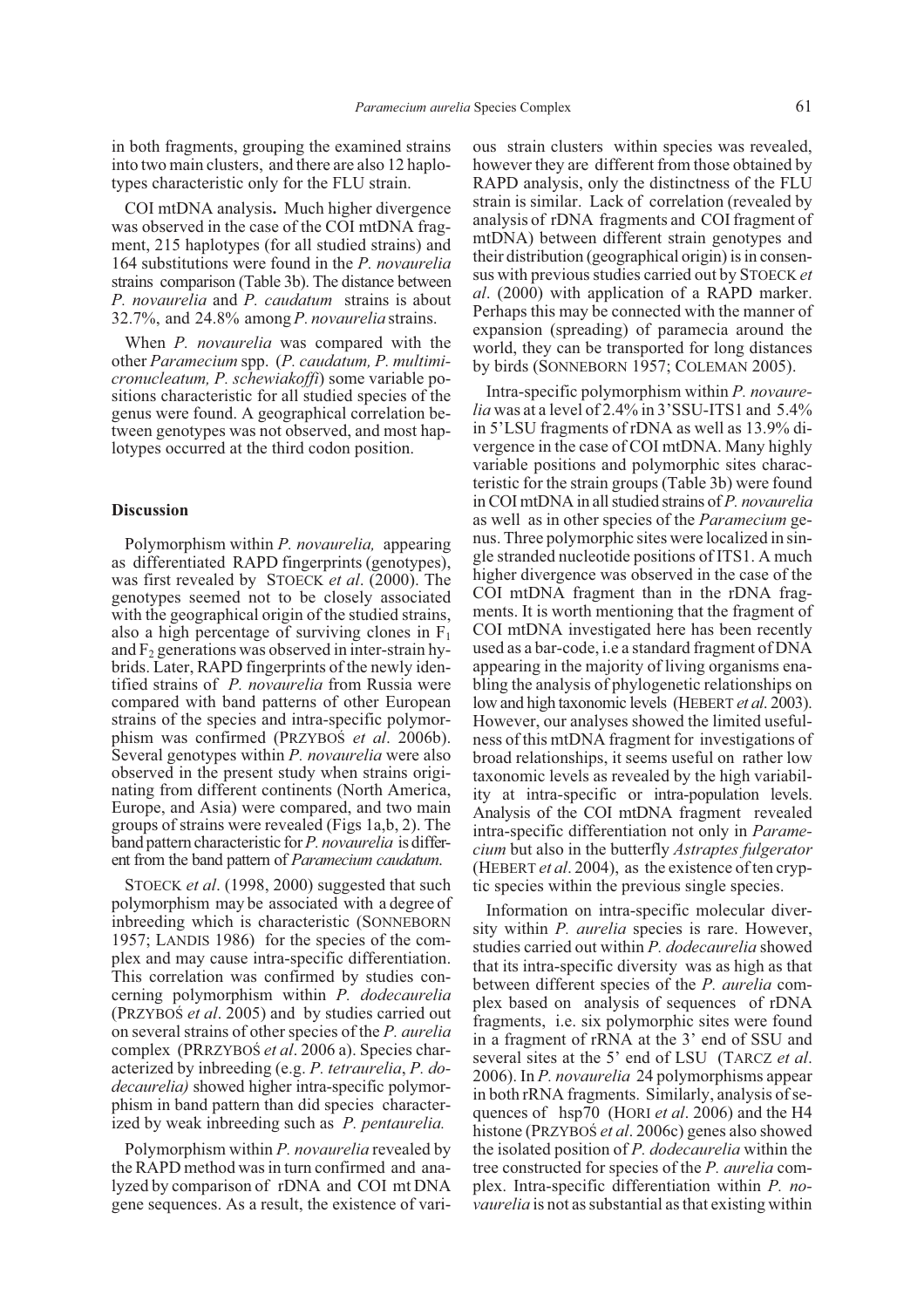in both fragments, grouping the examined strains into two main clusters, and there are also 12 haplotypes characteristic only for the FLU strain.

COI mtDNA analysis**.** Much higher divergence was observed in the case of the COI mtDNA fragment, 215 haplotypes (for all studied strains) and 164 substitutions were found in the *P. novaurelia* strains comparison (Table 3b). The distance between *P. novaurelia* and *P. caudatum* strains is about 32.7%, and 24.8% among *P. novaurelia* strains.

When *P. novaurelia* was compared with the other *Paramecium* spp. (*P. caudatum, P. multimicronucleatum, P. schewiakoffi*) some variable positions characteristic for all studied species of the genus were found. A geographical correlation between genotypes was not observed, and most haplotypes occurred at the third codon position.

#### **Discussion**

Polymorphism within *P. novaurelia,* appearing as differentiated RAPD fingerprints (genotypes), was first revealed by STOECK *et al*. (2000). The genotypes seemed not to be closely associated with the geographical origin of the studied strains, also a high percentage of surviving clones in  $F_1$ and  $F_2$  generations was observed in inter-strain hybrids. Later, RAPD fingerprints of the newly identified strains of *P. novaurelia* from Russia were compared with band patterns of other European strains of the species and intra-specific polymorphism was confirmed (PRZYBOS *et al.* 2006b). Several genotypes within *P. novaurelia* were also observed in the present study when strains originating from different continents (North America, Europe, and Asia) were compared, and two main groups of strains were revealed (Figs 1a,b, 2). The band pattern characteristic for*P. novaurelia* is different from the band pattern of *Paramecium caudatum*.

STOECK *et al*. (1998, 2000) suggested that such polymorphism may be associated with a degree of inbreeding which is characteristic (SONNEBORN 1957; LANDIS 1986) for the species of the complex and may cause intra-specific differentiation. This correlation was confirmed by studies concerning polymorphism within *P. dodecaurelia* (PRZYBOS *et al.* 2005) and by studies carried out on several strains of other species of the *P. aurelia* complex (PRRZYBOŚ *et al.* 2006 a). Species characterized by inbreeding (e.g. *P. tetraurelia*, *P. dodecaurelia)* showed higher intra-specific polymorphism in band pattern than did species characterized by weak inbreeding such as *P. pentaurelia.*

Polymorphism within *P. novaurelia* revealed by the RAPD method was in turn confirmed and analyzed by comparison of rDNA and COI mt DNA gene sequences. As a result, the existence of vari-

ous strain clusters within species was revealed, however they are different from those obtained by RAPD analysis, only the distinctness of the FLU strain is similar. Lack of correlation (revealed by analysis of rDNA fragments and COI fragment of mtDNA) between different strain genotypes and their distribution (geographical origin) is in consensus with previous studies carried out by STOECK *et al*. (2000) with application of a RAPD marker. Perhaps this may be connected with the manner of expansion (spreading) of paramecia around the world, they can be transported for long distances by birds (SONNEBORN 1957; COLEMAN 2005).

Intra-specific polymorphism within *P. novaurelia* was at a level of 2.4% in 3'SSU-ITS1 and 5.4% in 5'LSU fragments of rDNA as well as 13.9% divergence in the case of COI mtDNA. Many highly variable positions and polymorphic sites characteristic for the strain groups (Table 3b) were found in COI mtDNA in all studied strains of *P. novaurelia* as well as in other species of the *Paramecium* genus. Three polymorphic sites were localized in single stranded nucleotide positions of ITS1. A much higher divergence was observed in the case of the COI mtDNA fragment than in the rDNA fragments. It is worth mentioning that the fragment of COI mtDNA investigated here has been recently used as a bar-code, i.e a standard fragment of DNA appearing in the majority of living organisms enabling the analysis of phylogenetic relationships on low and high taxonomic levels (HEBERT *et al*. 2003). However, our analyses showed the limited usefulness of this mtDNA fragment for investigations of broad relationships, it seems useful on rather low taxonomic levels as revealed by the high variability at intra-specific or intra-population levels. Analysis of the COI mtDNA fragment revealed intra-specific differentiation not only in *Paramecium* but also in the butterfly *Astraptes fulgerator* (HEBERT *et al*. 2004), as the existence of ten cryptic species within the previous single species.

Information on intra-specific molecular diversity within *P. aurelia* species is rare. However, studies carried out within *P. dodecaurelia* showed that its intra-specific diversity was as high as that between different species of the *P. aurelia* complex based on analysis of sequences of rDNA fragments, i.e. six polymorphic sites were found in a fragment of rRNA at the 3' end of SSU and several sites at the 5' end of LSU (TARCZ *et al*. 2006). In *P. novaurelia* 24 polymorphisms appear in both rRNA fragments. Similarly, analysis of sequences of hsp70 (HORI *et al*. 2006) and the H4 histone (PRZYBOŚ *et al.* 2006c) genes also showed the isolated position of *P. dodecaurelia* within the tree constructed for species of the *P. aurelia* complex. Intra-specific differentiation within *P. novaurelia* is not as substantial as that existing within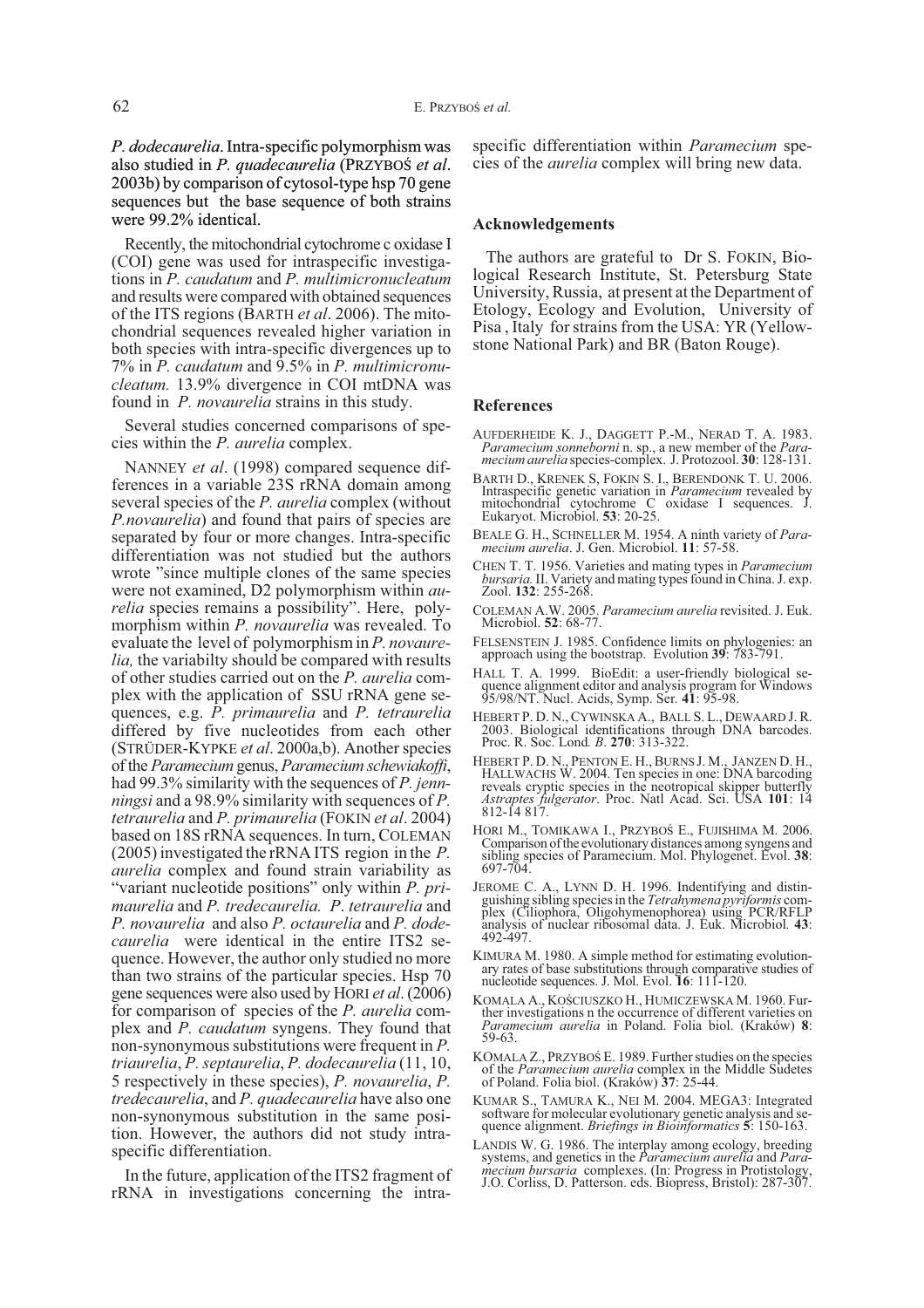*P. dodecaurelia*. Intra-specific polymorphism was also studied in *P. quadecaurelia* (PRZYBOŚ *et al.*) 2003b) by comparison of cytosol-type hsp 70 gene sequences but the base sequence of both strains were 99.2% identical.

Recently, the mitochondrial cytochrome c oxidase I (COI) gene was used for intraspecific investigations in *P. caudatum* and *P. multimicronucleatum* and results were compared with obtained sequences of the ITS regions (BARTH *et al*. 2006). The mitochondrial sequences revealed higher variation in both species with intra-specific divergences up to 7% in *P. caudatum* and 9.5% in *P. multimicronucleatum.* 13.9% divergence in COI mtDNA was found in *P. novaurelia* strains in this study.

Several studies concerned comparisons of species within the *P. aurelia* complex.

NANNEY *et al*. (1998) compared sequence differences in a variable 23S rRNA domain among several species of the *P. aurelia* complex (without *P.novaurelia*) and found that pairs of species are separated by four or more changes. Intra-specific differentiation was not studied but the authors wrote "since multiple clones of the same species were not examined, D2 polymorphism within *aurelia* species remains a possibility". Here, polymorphism within *P. novaurelia* was revealed. To evaluate the level of polymorphism in *P. novaurelia,* the variabilty should be compared with results of other studies carried out on the *P. aurelia* complex with the application of SSU rRNA gene sequences, e.g. *P. primaurelia* and *P. tetraurelia* differed by five nucleotides from each other (STRÜDER-KYPKE *et al*. 2000a,b). Another species of the *Paramecium* genus, *Paramecium schewiakoffi*, had 99.3% similarity with the sequences of *P. jennningsi* and a 98.9% similarity with sequences of *P. tetraurelia* and *P. primaurelia* (FOKIN *et al*. 2004) based on 18S rRNA sequences. In turn, COLEMAN (2005) investigated the rRNA ITS region in the *P. aurelia* complex and found strain variability as "variant nucleotide positions" only within *P. primaurelia* and *P. tredecaurelia. P*. *tetraurelia* and *P. novaurelia* and also *P. octaurelia* and *P. dodecaurelia* were identical in the entire ITS2 sequence. However, the author only studied no more than two strains of the particular species. Hsp 70 gene sequences were also used by HORI *et al*. (2006) for comparison of species of the *P. aurelia* complex and *P. caudatum* syngens. They found that non-synonymous substitutions were frequent in *P. triaurelia*, *P. septaurelia*, *P. dodecaurelia* (11, 10, 5 respectively in these species), *P. novaurelia*, *P. tredecaurelia*, and *P. quadecaurelia* have also one non-synonymous substitution in the same position. However, the authors did not study intraspecific differentiation.

In the future, application of the ITS2 fragment of rRNA in investigations concerning the intra-

specific differentiation within *Paramecium* species of the *aurelia* complex will bring new data.

#### **Acknowledgements**

The authors are grateful to Dr S. FOKIN, Biological Research Institute, St. Petersburg State University, Russia, at present at the Department of Etology, Ecology and Evolution, University of Pisa , Italy for strains from the USA: YR (Yellowstone National Park) and BR (Baton Rouge).

#### **References**

- AUFDERHEIDE K. J., DAGGETT P.-M., NERAD T. A. 1983. *Paramecium sonneborni* n. sp., a new member of the *Para- mecium aurelia* species-complex. J. Protozool. **<sup>30</sup>**: 128-131.
- BARTH D., KRENEK S, FOKIN S. I., BERENDONK T. U. 2006. Intraspecific genetic variation in *Paramecium* revealed by mitochondrial cytochrome C oxidase I sequences. J. Eukaryot. Microbiol. **53**: 20-25.
- BEALE G. H., SCHNELLER M. 1954. A ninth variety of *Para- mecium aurelia*. J. Gen. Microbiol. **<sup>11</sup>**: 57-58.
- CHEN T. T. 1956. Varieties and mating types in *Paramecium bursaria.*II. Variety and mating types found in China. J. exp. Zool. **<sup>132</sup>**: 255-268.
- COLEMAN A.W. 2005. *Paramecium aurelia* revisited. J. Euk. Microbiol. **52**: 68-77.
- FELSENSTEIN J. 1985. Confidence limits on phylogenies: an approach using the bootstrap. Evolution **<sup>39</sup>**: 783-791.
- HALL T. A. 1999. BioEdit: a user-friendly biological se- quence alignment editor and analysis program for Windows 95/98/NT. Nucl. Acids, Symp. Ser*.* **41**: 95-98.
- HEBERT P. D. N., CYWINSKA A., BALL S. L., DEWAARD J. R. 2003. Biological identifications through DNA barcodes. Proc. R. Soc. Lond*. B*. **270**: 313-322.
- HEBERT P. D. N., PENTON E. H., BURNS J. M., JANZEN D. H., HALLWACHS W. 2004. Ten species in one: DNA barcoding HALLWACHS W. 2004. Ten species in one: DNA barcoding reveals cryptic species in the neotropical skipper butterfly *Astraptes fulgerator*. Proc. Natl Acad. Sci. USA **101**: 14 812-14 817.
- HORI M., TOMIKAWA I., PRZYBOŚ E., FUJISHIMA M. 2006.<br>Comparison of the evolutionary distances among syngens and Comparison of the evolutionary distances among syngens and sibling species of Paramecium. Mol. Phylogenet. Evol. **<sup>38</sup>**: 697-704.
- JEROME C. A., LYNN D. H. 1996. Indentifying and distin- guishing sibling species in the *Tetrahymena pyriformis* com- plex (Ciliophora, Oligohymenophorea) using PCR/RFLP analysis of nuclear ribosomal data. J. Euk. Microbiol*.* **<sup>43</sup>**: 492-497.
- KIMURA M. 1980. A simple method for estimating evolution- ary rates of base substitutions through comparative studies of nucleotide sequences. J. Mol. Evol. **<sup>16</sup>**: 111-120.
- KOMALA A., KOŚCIUSZKO H., HUMICZEWSKA M. 1960. Fur-<br>ther investigations n the occurrence of different varieties on *Paramecium aurelia* in Poland. Folia biol. (Kraków) **<sup>8</sup>**: 59-63.
- KOMALA Z., PRZYBOŚ E. 1989. Further studies on the species of the *Paramecium aurelia* complex in the Middle Sudetes of Poland. Folia biol. (Kraków) **37**: 25-44.
- KUMAR S., TAMURA K., NEI M. 2004. MEGA3: Integrated software for molecular evolutionary genetic analysis and se- quence alignment. *Briefings in Bioinformatics* **<sup>5</sup>**: 150-163.
- LANDIS W. G. 1986. The interplay among ecology, breeding<br>systems, and genetics in the *Paramecium aurelia* and *Para-*<br>*mecium bursaria* complexes. (In: Progress in Protistology,<br>J.O. Corliss, D. Patterson. eds. Biopress,